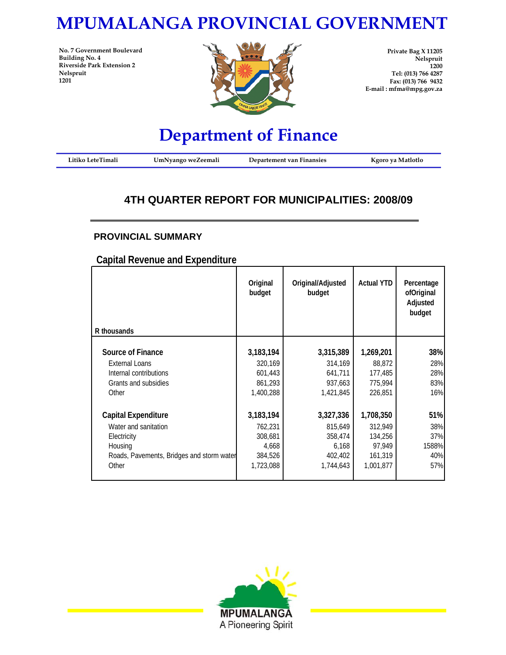# **MPUMALANGA PROVINCIAL GOVERNMENT**

**No. 7 Government Boulevard Building No. 4 Riverside Park Extension 2 Nelspruit 1201**



**Private Bag X 11205 Nelspruit 1200 Tel: (013) 766 4287 Fax: (013) 766 9432 E-mail : mfma@mpg.gov.za**

# **Department of Finance**

| Litiko LeteTimali | UmNyango weZeemali | Departement van Finansies | Kgoro ya Matlotlo |
|-------------------|--------------------|---------------------------|-------------------|
|-------------------|--------------------|---------------------------|-------------------|

### **4TH QUARTER REPORT FOR MUNICIPALITIES: 2008/09**

### **PROVINCIAL SUMMARY**

**Capital Revenue and Expenditure**

| R thousands                               | Original<br>budget | Original/Adjusted<br>budget | <b>Actual YTD</b> | Percentage<br>ofOriginal<br>Adjusted<br>budget |
|-------------------------------------------|--------------------|-----------------------------|-------------------|------------------------------------------------|
|                                           |                    |                             |                   |                                                |
| Source of Finance                         | 3, 183, 194        | 3,315,389                   | 1,269,201         | 38%                                            |
| External Loans                            | 320,169            | 314,169                     | 88,872            | 28%                                            |
| Internal contributions                    | 601,443            | 641,711                     | 177,485           | 28%                                            |
| Grants and subsidies                      | 861,293            | 937,663                     | 775,994           | 83%                                            |
| Other                                     | 1,400,288          | 1,421,845                   | 226,851           | <b>16%</b>                                     |
|                                           |                    |                             |                   |                                                |
| <b>Capital Expenditure</b>                | 3,183,194          | 3,327,336                   | 1,708,350         | 51%                                            |
| Water and sanitation                      | 762.231            | 815,649                     | 312.949           | 38%                                            |
| Electricity                               | 308,681            | 358,474                     | 134,256           | 37%                                            |
| Housing                                   | 4,668              | 6,168                       | 97,949            | 1588%                                          |
| Roads, Pavements, Bridges and storm water | 384,526            | 402,402                     | 161,319           | 40%                                            |
| Other                                     |                    |                             |                   | 57%                                            |
|                                           | 1,723,088          | 1,744,643                   | 1,001,877         |                                                |
|                                           |                    |                             |                   |                                                |

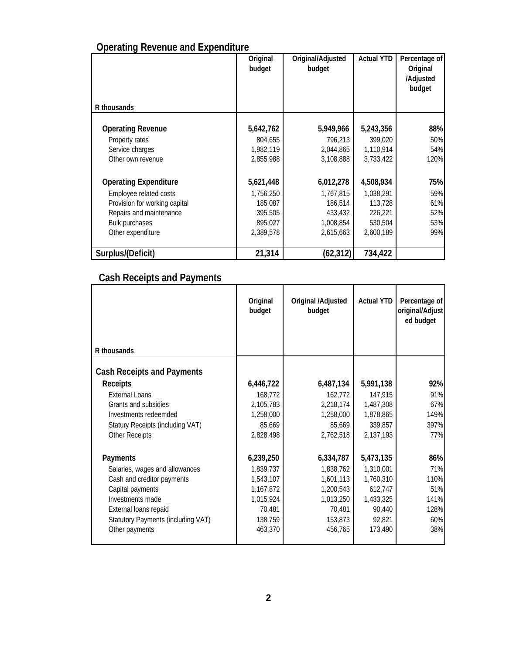| <b>Operating Revenue and Expenditure</b> |  |
|------------------------------------------|--|
|                                          |  |

| R thousands                   | Original<br>budget | Original/Adjusted<br>budget | <b>Actual YTD</b> | Percentage of<br>Original<br>/Adjusted<br>budget |
|-------------------------------|--------------------|-----------------------------|-------------------|--------------------------------------------------|
|                               |                    |                             |                   |                                                  |
| <b>Operating Revenue</b>      | 5,642,762          | 5,949,966                   | 5,243,356         | 88%                                              |
| Property rates                | 804.655            | 796,213                     | 399,020           | 50%                                              |
| Service charges               | 1,982,119          | 2,044,865                   | 1,110,914         | 54%                                              |
| Other own revenue             | 2,855,988          | 3,108,888                   | 3,733,422         | 120%                                             |
| <b>Operating Expenditure</b>  | 5,621,448          | 6,012,278                   | 4,508,934         | 75%                                              |
| Employee related costs        | 1,756,250          | 1,767,815                   | 1,038,291         | 59%                                              |
| Provision for working capital | 185,087            | 186,514                     | 113,728           | 61%                                              |
| Repairs and maintenance       | 395,505            | 433,432                     | 226,221           | 52%                                              |
| Bulk purchases                | 895,027            | 1,008,854                   | 530,504           | 53%                                              |
| Other expenditure             | 2,389,578          | 2,615,663                   | 2,600,189         | 99%                                              |
| Surplus/(Deficit)             | 21,314             | (62, 312)                   | 734,422           |                                                  |

## **Cash Receipts and Payments**

|                                    | Original<br>budget | Original /Adjusted<br>budget | <b>Actual YTD</b> | Percentage of<br>original/Adjust<br>ed budget |
|------------------------------------|--------------------|------------------------------|-------------------|-----------------------------------------------|
| R thousands                        |                    |                              |                   |                                               |
| <b>Cash Receipts and Payments</b>  |                    |                              |                   |                                               |
| <b>Receipts</b>                    | 6,446,722          | 6,487,134                    | 5,991,138         | 92%                                           |
| <b>External Loans</b>              | 168,772            | 162,772                      | 147,915           | 91%                                           |
| Grants and subsidies               | 2,105,783          | 2,218,174                    | 1,487,308         | 67%                                           |
| Investments redeemded              | 1,258,000          | 1,258,000                    | 1,878,865         | 149%                                          |
| Statury Receipts (including VAT)   | 85,669             | 85,669                       | 339,857           | 397%                                          |
| Other Receipts                     | 2,828,498          | 2,762,518                    | 2,137,193         | 77%                                           |
| Payments                           | 6,239,250          | 6,334,787                    | 5,473,135         | 86%                                           |
| Salaries, wages and allowances     | 1,839,737          | 1,838,762                    | 1,310,001         | 71%                                           |
| Cash and creditor payments         | 1,543,107          | 1,601,113                    | 1,760,310         | 110%                                          |
| Capital payments                   | 1,167,872          | 1,200,543                    | 612,747           | 51%                                           |
| Investments made                   | 1,015,924          | 1,013,250                    | 1,433,325         | 141%                                          |
| External loans repaid              | 70,481             | 70,481                       | 90,440            | 128%                                          |
| Statutory Payments (including VAT) | 138,759            | 153,873                      | 92,821            | 60%                                           |
| Other payments                     | 463,370            | 456,765                      | 173,490           | 38%                                           |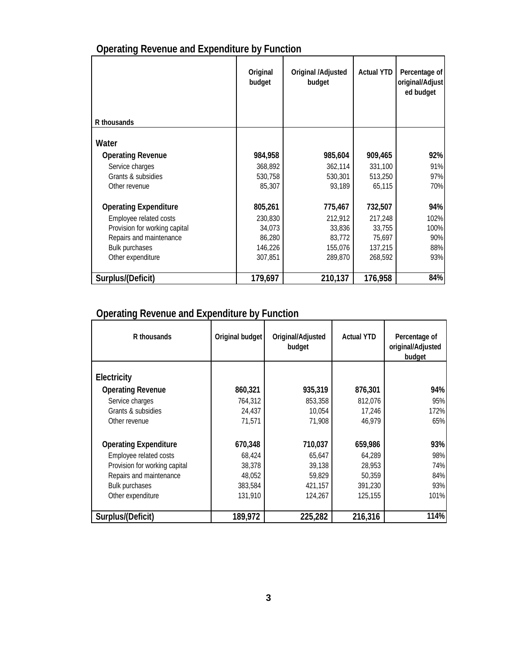## **Operating Revenue and Expenditure by Function**

|                               | Original<br>budget | Original /Adjusted<br>budget | <b>Actual YTD</b> | Percentage of<br>original/Adjust<br>ed budget |
|-------------------------------|--------------------|------------------------------|-------------------|-----------------------------------------------|
| R thousands                   |                    |                              |                   |                                               |
| Water                         |                    |                              |                   |                                               |
| <b>Operating Revenue</b>      | 984,958            | 985,604                      | 909,465           | 92%                                           |
| Service charges               | 368,892            | 362,114                      | 331,100           | 91%                                           |
| Grants & subsidies            | 530,758            | 530,301                      | 513,250           | 97%                                           |
| Other revenue                 | 85,307             | 93,189                       | 65,115            | 70%                                           |
| <b>Operating Expenditure</b>  | 805,261            | 775,467                      | 732,507           | 94%                                           |
| Employee related costs        | 230,830            | 212,912                      | 217.248           | 102%                                          |
| Provision for working capital | 34,073             | 33,836                       | 33.755            | 100%                                          |
| Repairs and maintenance       | 86,280             | 83,772                       | 75,697            | 90%                                           |
| <b>Bulk purchases</b>         | 146,226            | 155,076                      | 137,215           | 88%                                           |
| Other expenditure             | 307,851            | 289,870                      | 268,592           | 93%                                           |
| Surplus/(Deficit)             | 179,697            | 210,137                      | 176,958           | 84%                                           |

## **Operating Revenue and Expenditure by Function**

| R thousands                   | Original budget | Original/Adjusted<br>budget | <b>Actual YTD</b> | Percentage of<br>original/Adjusted<br>budget |
|-------------------------------|-----------------|-----------------------------|-------------------|----------------------------------------------|
| Electricity                   |                 |                             |                   |                                              |
| <b>Operating Revenue</b>      | 860,321         | 935,319                     | 876,301           | 94%                                          |
| Service charges               | 764,312         | 853,358                     | 812,076           | 95%                                          |
| Grants & subsidies            | 24,437          | 10,054                      | 17,246            | 172%                                         |
| Other revenue                 | 71.571          | 71,908                      | 46,979            | 65%                                          |
| <b>Operating Expenditure</b>  | 670,348         | 710,037                     | 659,986           | 93%                                          |
| Employee related costs        | 68,424          | 65,647                      | 64,289            | 98%                                          |
| Provision for working capital | 38,378          | 39,138                      | 28,953            | 74%                                          |
| Repairs and maintenance       | 48,052          | 59,829                      | 50,359            | 84%                                          |
| <b>Bulk purchases</b>         | 383,584         | 421,157                     | 391,230           | 93%                                          |
| Other expenditure             | 131,910         | 124,267                     | 125,155           | <b>101%</b>                                  |
| Surplus/(Deficit)             | 189,972         | 225,282                     | 216,316           | 114%                                         |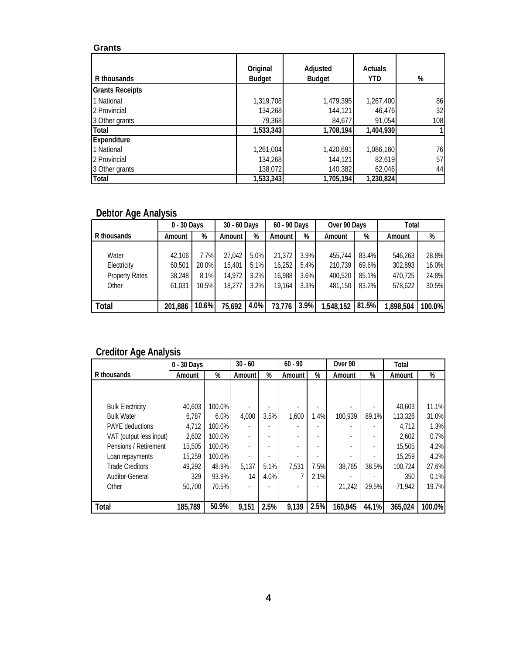### **Grants**

| R thousands            | Original<br><b>Budget</b> | Adjusted<br><b>Budget</b> | <b>Actuals</b><br><b>YTD</b> | %   |
|------------------------|---------------------------|---------------------------|------------------------------|-----|
| <b>Grants Receipts</b> |                           |                           |                              |     |
| 1 National             | 1,319,708                 | 1,479,395                 | 1,267,400                    | 86  |
| 2 Provincial           | 134,268                   | 144.121                   | 46,476                       | 32  |
| 3 Other grants         | 79,368                    | 84,677                    | 91,054                       | 108 |
| Total                  | 1,533,343                 | 1,708,194                 | 1,404,930                    |     |
| Expenditure            |                           |                           |                              |     |
| 1 National             | 1,261,004                 | 1,420,691                 | 1,086,160                    | 76  |
| 2 Provincial           | 134,268                   | 144.121                   | 82,619                       | 57  |
| 3 Other grants         | 138,072                   | 140,382                   | 62,046                       | 44  |
| Total                  | 1,533,343                 | 1,705,194                 | 1,230,824                    |     |

### **Debtor Age Analysis**

|                       | 0 - 30 Days |       | 30 - 60 Days |      | 60 - 90 Days |      | Over 90 Days |       | Total     |        |
|-----------------------|-------------|-------|--------------|------|--------------|------|--------------|-------|-----------|--------|
| R thousands           | Amount      | %     | Amount I     | %    | Amount I     | %    | Amount       | %     | Amount    | %      |
|                       |             |       |              |      |              |      |              |       |           |        |
| Water                 | 42.106      | 7.7%  | 27.042       | 5.0% | 21,372       | 3.9% | 455.744      | 83.4% | 546,263   | 28.8%  |
| Electricity           | 60.501      | 20.0% | 15,401       | 5.1% | 16.252       | 5.4% | 210.739      | 69.6% | 302,893   | 16.0%  |
| <b>Property Rates</b> | 38,248      | 8.1%  | 14,972       | 3.2% | 16,988       | 3.6% | 400.520      | 85.1% | 470,725   | 24.8%  |
| Other                 | 61.031      | 10.5% | 18,277       | 3.2% | 19.164       | 3.3% | 481.150      | 83.2% | 578,622   | 30.5%  |
|                       |             |       |              |      |              |      |              |       |           |        |
| <b>Total</b>          | 201,886     | 10.6% | 75,692       | 4.0% | 73,776       | 3.9% | 1,548,152    | 81.5% | 1,898,504 | 100.0% |

### **Creditor Age Analysis**

|                         | 0 - 30 Days |        | $30 - 60$ |      | $60 - 90$ |      | Over <sub>90</sub> |       | Total   |        |
|-------------------------|-------------|--------|-----------|------|-----------|------|--------------------|-------|---------|--------|
| R thousands             | Amount      | %      | Amount    | %    | Amount    | %    | Amount             | %     | Amount  | %      |
|                         |             |        |           |      |           |      |                    |       |         |        |
|                         |             |        |           |      |           |      |                    |       |         |        |
| <b>Bulk Electricity</b> | 40.603      | 100.0% |           |      |           |      |                    |       | 40,603  | 11.1%  |
| <b>Bulk Water</b>       | 6.787       | 6.0%   | 4,000     | 3.5% | 1,600     | 1.4% | 100.939            | 89.1% | 113,326 | 31.0%  |
| <b>PAYE</b> deductions  | 4,712       | 100.0% |           |      |           |      |                    |       | 4.712   | 1.3%   |
| VAT (output less input) | 2.602       | 100.0% |           |      |           |      |                    |       | 2.602   | 0.7%   |
| Pensions / Retirement   | 15,505      | 100.0% |           |      |           |      |                    |       | 15,505  | 4.2%   |
| Loan repayments         | 15,259      | 100.0% |           |      |           |      |                    |       | 15,259  | 4.2%   |
| <b>Trade Creditors</b>  | 49.292      | 48.9%  | 5,137     | 5.1% | 7.531     | 7.5% | 38.765             | 38.5% | 100.724 | 27.6%  |
| Auditor-General         | 329         | 93.9%  | 14        | 4.0% | ℸ         | 2.1% |                    |       | 350     | 0.1%   |
| Other                   | 50,700      | 70.5%  |           |      |           |      | 21,242             | 29.5% | 71,942  | 19.7%  |
|                         |             |        |           |      |           |      |                    |       |         |        |
| Total                   | 185,789     | 50.9%  | 9,151     | 2.5% | 9,139     | 2.5% | 160,945            | 44.1% | 365,024 | 100.0% |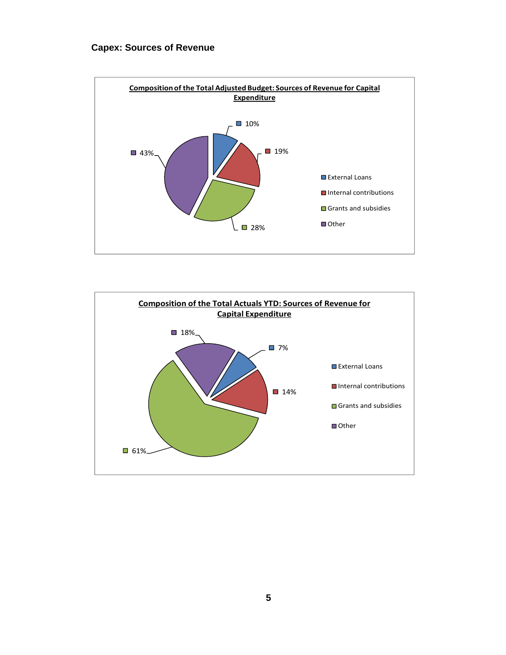### **Capex: Sources of Revenue**



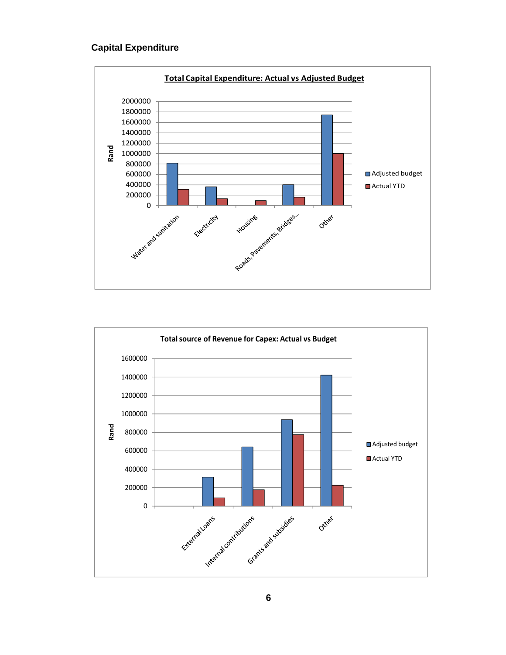### **Capital Expenditure**



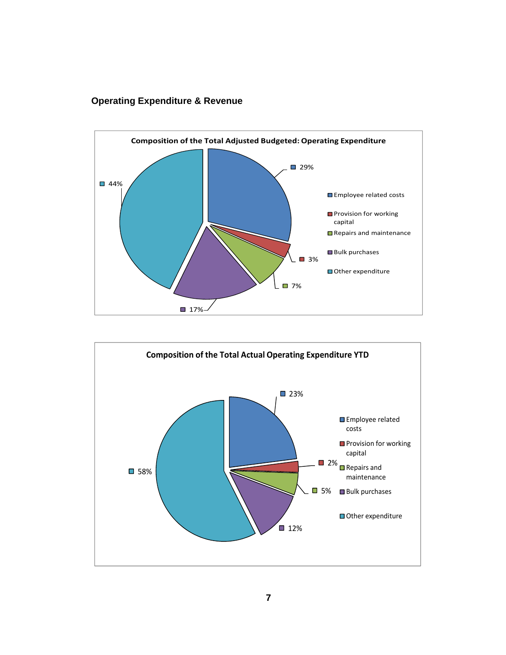### **Operating Expenditure & Revenue**



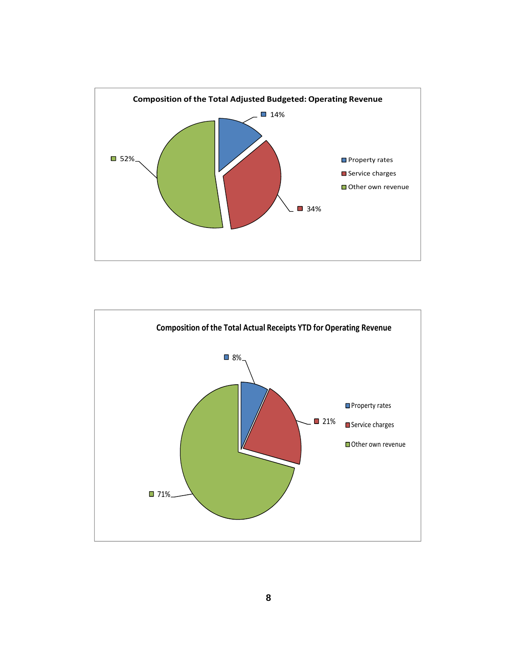

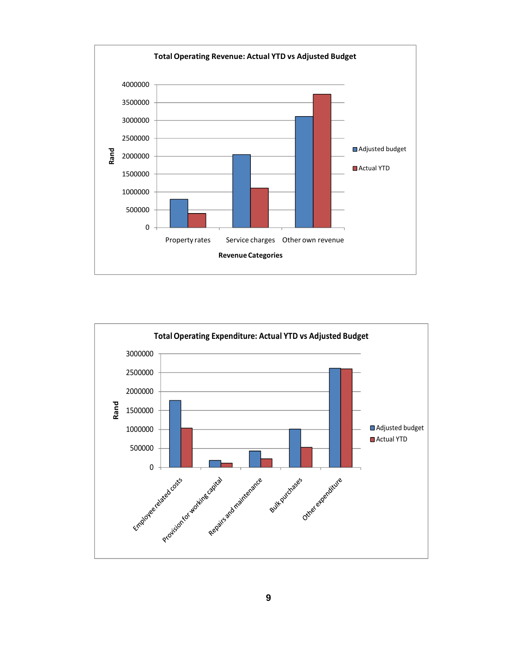

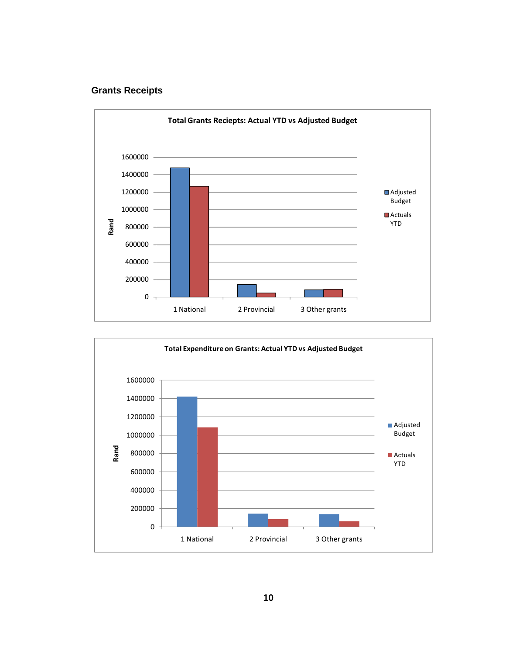### **Grants Receipts**



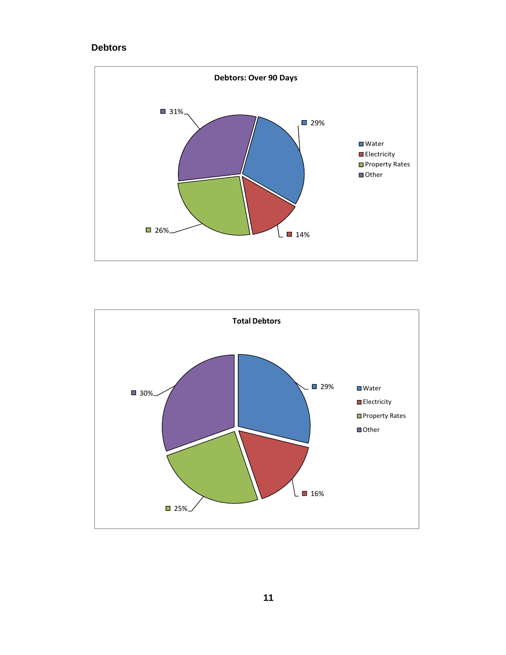### **Debtors**



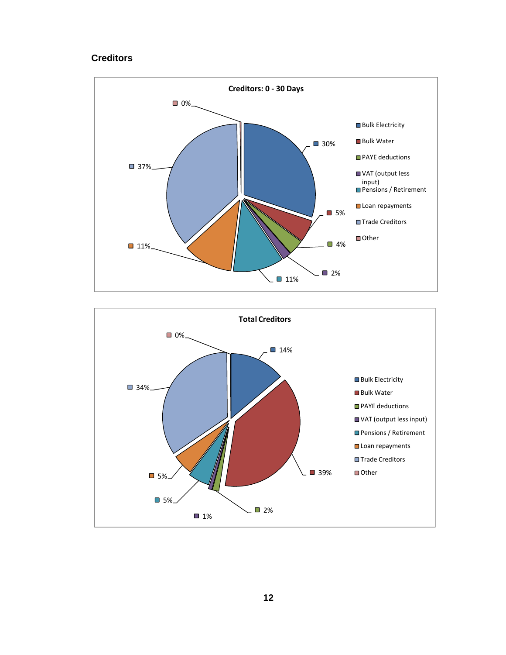#### **Creditors**



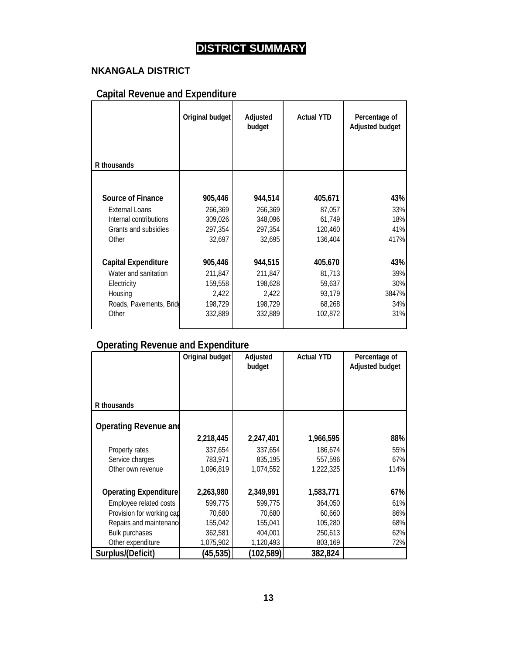## **DISTRICT SUMMARY**

### **NKANGALA DISTRICT**

## **Capital Revenue and Expenditure**

|                                  | Original budget  | Adjusted<br>budget | <b>Actual YTD</b> | Percentage of<br><b>Adjusted budget</b> |
|----------------------------------|------------------|--------------------|-------------------|-----------------------------------------|
| R thousands                      |                  |                    |                   |                                         |
|                                  |                  |                    |                   |                                         |
| <b>Source of Finance</b>         | 905,446          | 944,514            | 405,671           | 43%                                     |
| <b>External Loans</b>            | 266,369          | 266,369            | 87,057            | 33%                                     |
| Internal contributions           | 309,026          | 348,096            | 61,749            | 18%                                     |
| Grants and subsidies             | 297,354          | 297,354            | 120,460           | 41%                                     |
| Other                            | 32,697           | 32,695             | 136,404           | 417%                                    |
| <b>Capital Expenditure</b>       | 905,446          | 944,515            | 405,670           | 43%                                     |
| Water and sanitation             | 211,847          | 211,847            |                   | 39%                                     |
|                                  |                  |                    | 81,713            | 30%                                     |
| Electricity<br>Housing           | 159,558<br>2,422 | 198,628<br>2,422   | 59,637<br>93,179  | 3847%                                   |
|                                  | 198,729          | 198,729            |                   | 34%                                     |
| Roads, Pavements, Bridg<br>Other | 332,889          | 332,889            | 68,268<br>102,872 | 31%                                     |
|                                  |                  |                    |                   |                                         |

### **Operating Revenue and Expenditure**

|                              | Original budget | Adjusted<br>budget | <b>Actual YTD</b> | Percentage of<br>Adjusted budget |
|------------------------------|-----------------|--------------------|-------------------|----------------------------------|
| R thousands                  |                 |                    |                   |                                  |
| <b>Operating Revenue and</b> |                 |                    |                   |                                  |
|                              | 2,218,445       | 2,247,401          | 1,966,595         | 88%                              |
| Property rates               | 337,654         | 337,654            | 186,674           | 55%                              |
| Service charges              | 783,971         | 835,195            | 557,596           | 67%                              |
| Other own revenue            | 1,096,819       | 1,074,552          | 1,222,325         | 114%                             |
| <b>Operating Expenditure</b> | 2,263,980       | 2,349,991          | 1,583,771         | 67%                              |
| Employee related costs       | 599,775         | 599,775            | 364,050           | 61%                              |
| Provision for working cap    | 70,680          | 70,680             | 60,660            | 86%                              |
| Repairs and maintenance      | 155,042         | 155,041            | 105,280           | 68%                              |
| <b>Bulk purchases</b>        | 362,581         | 404,001            | 250,613           | 62%                              |
| Other expenditure            | 1,075,902       | 1,120,493          | 803,169           | 72%                              |
| Surplus/(Deficit)            | (45, 535)       | (102, 589)         | 382,824           |                                  |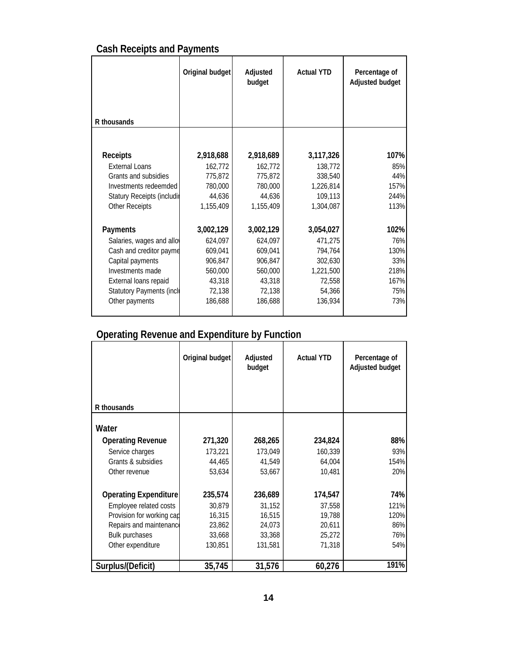|  |  | <b>Cash Receipts and Payments</b> |
|--|--|-----------------------------------|
|  |  |                                   |

|                                 | Original budget | Adjusted<br>budget | <b>Actual YTD</b> | Percentage of<br>Adjusted budget |
|---------------------------------|-----------------|--------------------|-------------------|----------------------------------|
| R thousands                     |                 |                    |                   |                                  |
|                                 |                 |                    |                   |                                  |
| <b>Receipts</b>                 | 2,918,688       | 2,918,689          | 3,117,326         | 107%                             |
| <b>External Loans</b>           | 162,772         | 162,772            | 138,772           | 85%                              |
| Grants and subsidies            | 775,872         | 775,872            | 338,540           | 44%                              |
| Investments redeemded           | 780,000         | 780,000            | 1,226,814         | 157%                             |
| Statury Receipts (includir      | 44,636          | 44,636             | 109,113           | 244%                             |
| <b>Other Receipts</b>           | 1,155,409       | 1,155,409          | 1,304,087         | 113%                             |
| Payments                        | 3,002,129       | 3,002,129          | 3,054,027         | 102%                             |
| Salaries, wages and allo        | 624,097         | 624,097            | 471,275           | 76%                              |
| Cash and creditor payme         | 609,041         | 609,041            | 794,764           | 130%                             |
| Capital payments                | 906,847         | 906,847            | 302,630           | 33%                              |
| Investments made                | 560,000         | 560,000            | 1,221,500         | 218%                             |
| External loans repaid           | 43,318          | 43,318             | 72,558            | 167%                             |
| <b>Statutory Payments (incl</b> | 72,138          | 72,138             | 54,366            | 75%                              |
| Other payments                  | 186,688         | 186,688            | 136,934           | 73%                              |
|                                 |                 |                    |                   |                                  |

## **Operating Revenue and Expenditure by Function**

|                              | Original budget | Adjusted<br>budget | <b>Actual YTD</b> | Percentage of<br>Adjusted budget |
|------------------------------|-----------------|--------------------|-------------------|----------------------------------|
| R thousands                  |                 |                    |                   |                                  |
| Water                        |                 |                    |                   |                                  |
| <b>Operating Revenue</b>     | 271,320         | 268,265            | 234,824           | 88%                              |
| Service charges              | 173,221         | 173,049            | 160,339           | 93%                              |
| Grants & subsidies           | 44,465          | 41,549             | 64,004            | 154%                             |
| Other revenue                | 53,634          | 53,667             | 10,481            | 20%                              |
| <b>Operating Expenditure</b> | 235,574         | 236,689            | 174,547           | 74%                              |
| Employee related costs       | 30,879          | 31,152             | 37,558            | 121%                             |
| Provision for working cap    | 16,315          | 16,515             | 19,788            | 120%                             |
| Repairs and maintenance      | 23,862          | 24,073             | 20,611            | 86%                              |
| <b>Bulk purchases</b>        | 33,668          | 33,368             | 25,272            | 76%                              |
| Other expenditure            | 130,851         | 131,581            | 71,318            | 54%                              |
| Surplus/(Deficit)            | 35,745          | 31,576             | 60,276            | 191%                             |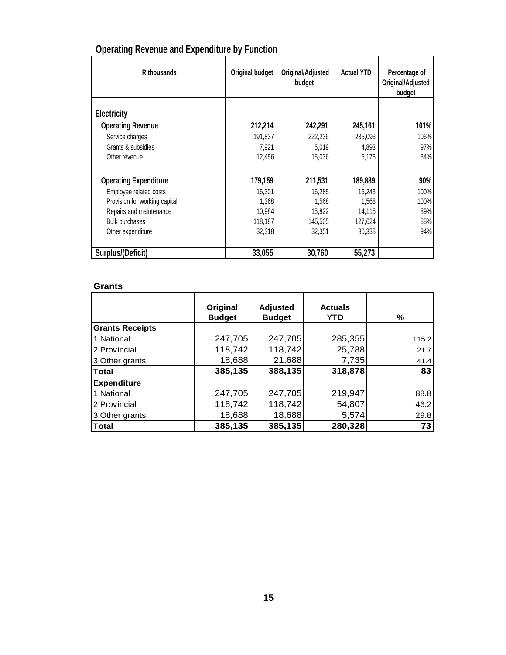| R thousands                   | Original budget | Original/Adjusted<br>budget | <b>Actual YTD</b> | Percentage of<br>Original/Adjusted<br>budget |
|-------------------------------|-----------------|-----------------------------|-------------------|----------------------------------------------|
| Electricity                   |                 |                             |                   |                                              |
| <b>Operating Revenue</b>      | 212,214         | 242,291                     | 245,161           | 101%                                         |
| Service charges               | 191,837         | 222,236                     | 235,093           | 106%                                         |
| Grants & subsidies            | 7,921           | 5,019                       | 4,893             | 97%                                          |
| Other revenue                 | 12,456          | 15,036                      | 5,175             | 34%                                          |
| <b>Operating Expenditure</b>  | 179,159         | 211,531                     | 189,889           | 90%                                          |
| Employee related costs        | 16,301          | 16,285                      | 16,243            | 100%                                         |
| Provision for working capital | 1,368           | 1,568                       | 1,568             | 100%                                         |
| Repairs and maintenance       | 10,984          | 15,822                      | 14,115            | 89%                                          |
| <b>Bulk purchases</b>         | 118,187         | 145,505                     | 127,624           | 88%                                          |
| Other expenditure             | 32,318          | 32,351                      | 30,338            | 94%                                          |
| Surplus/(Deficit)             | 33,055          | 30,760                      | 55,273            |                                              |

## **Operating Revenue and Expenditure by Function**

### **Grants**

|                        | Original<br><b>Budget</b> | <b>Adjusted</b><br><b>Budget</b> | <b>Actuals</b><br>YTD | ℅     |
|------------------------|---------------------------|----------------------------------|-----------------------|-------|
| <b>Grants Receipts</b> |                           |                                  |                       |       |
| 1 National             | 247,705                   | 247,705                          | 285,355               | 115.2 |
| 2 Provincial           | 118,742                   | 118,742                          | 25,788                | 21.7  |
| 3 Other grants         | 18,688                    | 21,688                           | 7,735                 | 41.4  |
| <b>Total</b>           | 385,135                   | 388,135                          | 318,878               | 83    |
| <b>Expenditure</b>     |                           |                                  |                       |       |
| 1 National             | 247,705                   | 247,705                          | 219,947               | 88.8  |
| 2 Provincial           | 118,742                   | 118,742                          | 54,807                | 46.2  |
| 3 Other grants         | 18,688                    | 18,688                           | 5,574                 | 29.8  |
| <b>Total</b>           | 385,135                   | 385,135                          | 280,328               | 73    |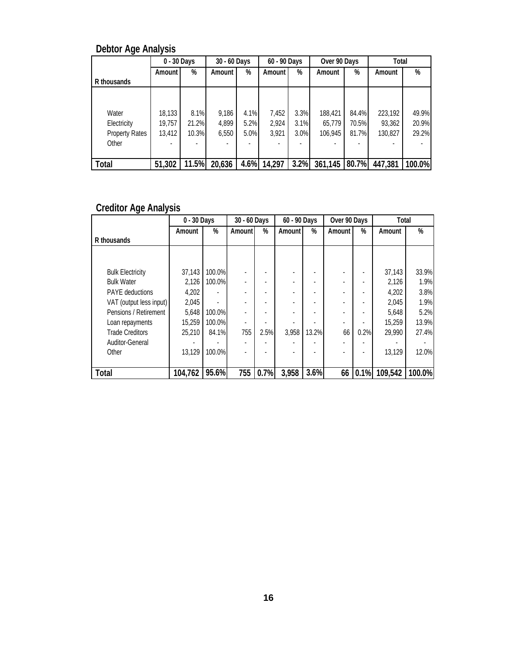|                       | 0 - 30 Days |       | 30 - 60 Days |      | 60 - 90 Days |      | Over 90 Days |       | Total   |        |
|-----------------------|-------------|-------|--------------|------|--------------|------|--------------|-------|---------|--------|
|                       | Amount I    | %     | Amount       | %    | Amount       | %    | Amount       | %     | Amount  | %      |
| R thousands           |             |       |              |      |              |      |              |       |         |        |
|                       |             |       |              |      |              |      |              |       |         |        |
|                       |             |       |              |      |              |      |              |       |         |        |
| Water                 | 18,133      | 8.1%  | 9,186        | 4.1% | 7,452        | 3.3% | 188,421      | 84.4% | 223,192 | 49.9%  |
| Electricity           | 19,757      | 21.2% | 4,899        | 5.2% | 2,924        | 3.1% | 65,779       | 70.5% | 93,362  | 20.9%  |
| <b>Property Rates</b> | 13,412      | 10.3% | 6,550        | 5.0% | 3,921        | 3.0% | 106.945      | 81.7% | 130,827 | 29.2%  |
| Other                 |             |       |              |      |              |      |              |       |         |        |
|                       |             |       |              |      |              |      |              |       |         |        |
| Total                 | 51,302      | 11.5% | 20,636       | 4.6% | 14,297       | 3.2% | 361,145      | 80.7% | 447,381 | 100.0% |

### **Debtor Age Analysis**

### **Creditor Age Analysis**

|                         | 0 - 30 Days |        | 30 - 60 Days |      | 60 - 90 Days |       | Over 90 Days |      | Total   |        |
|-------------------------|-------------|--------|--------------|------|--------------|-------|--------------|------|---------|--------|
|                         | Amount      | %      | Amountl      | %    | Amount       | %     | Amount I     | %    | Amount  | %      |
| R thousands             |             |        |              |      |              |       |              |      |         |        |
|                         |             |        |              |      |              |       |              |      |         |        |
|                         |             |        |              |      |              |       |              |      |         |        |
| <b>Bulk Electricity</b> | 37,143      | 100.0% |              |      |              |       |              |      | 37,143  | 33.9%  |
| <b>Bulk Water</b>       | 2,126       | 100.0% |              |      | ٠            |       |              |      | 2,126   | 1.9%   |
| <b>PAYE</b> deductions  | 4,202       |        |              |      |              |       |              |      | 4,202   | 3.8%   |
| VAT (output less input) | 2,045       |        |              |      |              |       |              |      | 2,045   | 1.9%   |
| Pensions / Retirement   | 5.648       | 100.0% |              |      |              |       |              |      | 5,648   | 5.2%   |
| Loan repayments         | 15,259      | 100.0% |              |      |              |       |              |      | 15,259  | 13.9%  |
| <b>Trade Creditors</b>  | 25,210      | 84.1%  | 755          | 2.5% | 3,958        | 13.2% | 66           | 0.2% | 29,990  | 27.4%  |
| <b>Auditor-General</b>  |             |        |              |      |              |       |              |      |         |        |
| Other                   | 13,129      | 100.0% |              |      |              |       |              |      | 13.129  | 12.0%  |
|                         |             |        |              |      |              |       |              |      |         |        |
| <b>Total</b>            | 104,762     | 95.6%  | 755          | 0.7% | 3,958        | 3.6%  | 66 I         | 0.1% | 109,542 | 100.0% |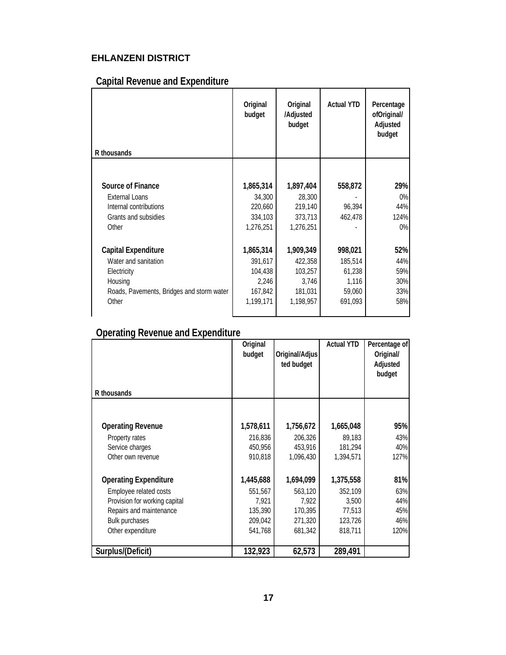### **EHLANZENI DISTRICT**

## **Capital Revenue and Expenditure**

| R thousands                               | Original<br>budget | Original<br>/Adjusted<br>budget | <b>Actual YTD</b> | Percentage<br>ofOriginal/<br>Adjusted<br>budget |
|-------------------------------------------|--------------------|---------------------------------|-------------------|-------------------------------------------------|
|                                           |                    |                                 |                   |                                                 |
| <b>Source of Finance</b>                  | 1,865,314          | 1,897,404                       | 558,872           | 29%                                             |
| <b>External Loans</b>                     | 34,300             | 28,300                          |                   | $0\%$                                           |
| Internal contributions                    | 220,660            | 219,140                         | 96,394            | 44%                                             |
| Grants and subsidies                      | 334,103            | 373,713                         | 462,478           | 124%                                            |
| Other                                     | 1,276,251          | 1,276,251                       |                   | $0\%$                                           |
| <b>Capital Expenditure</b>                | 1,865,314          | 1,909,349                       | 998,021           | 52%                                             |
| Water and sanitation                      | 391,617            | 422,358                         | 185,514           | 44%                                             |
| Electricity                               | 104,438            | 103,257                         | 61,238            | 59%                                             |
| Housing                                   | 2,246              | 3,746                           | 1,116             | 30%                                             |
| Roads, Pavements, Bridges and storm water | 167,842            | 181,031                         | 59,060            | 33%                                             |
| Other                                     | 1,199,171          | 1,198,957                       | 691,093           | 58%                                             |
|                                           |                    |                                 |                   |                                                 |

### **Operating Revenue and Expenditure**

|                               | Original<br>budget | Original/Adjus<br>ted budget | <b>Actual YTD</b> | Percentage of<br>Original/<br>Adjusted<br>budget |
|-------------------------------|--------------------|------------------------------|-------------------|--------------------------------------------------|
| R thousands                   |                    |                              |                   |                                                  |
|                               |                    |                              |                   |                                                  |
| <b>Operating Revenue</b>      | 1,578,611          | 1,756,672                    | 1,665,048         | 95%                                              |
| Property rates                | 216,836            | 206,326                      | 89,183            | 43%                                              |
| Service charges               | 450,956            | 453,916                      | 181.294           | 40%                                              |
| Other own revenue             | 910,818            | 1,096,430                    | 1,394,571         | 127%                                             |
| <b>Operating Expenditure</b>  | 1,445,688          | 1,694,099                    | 1,375,558         | 81%                                              |
| Employee related costs        | 551,567            | 563,120                      | 352,109           | 63%                                              |
| Provision for working capital | 7,921              | 7,922                        | 3,500             | 44%                                              |
| Repairs and maintenance       | 135,390            | 170,395                      | 77,513            | 45%                                              |
| Bulk purchases                | 209,042            | 271,320                      | 123,726           | 46%                                              |
| Other expenditure             | 541,768            | 681,342                      | 818,711           | 120%                                             |
| Surplus/(Deficit)             | 132,923            | 62,573                       | 289,491           |                                                  |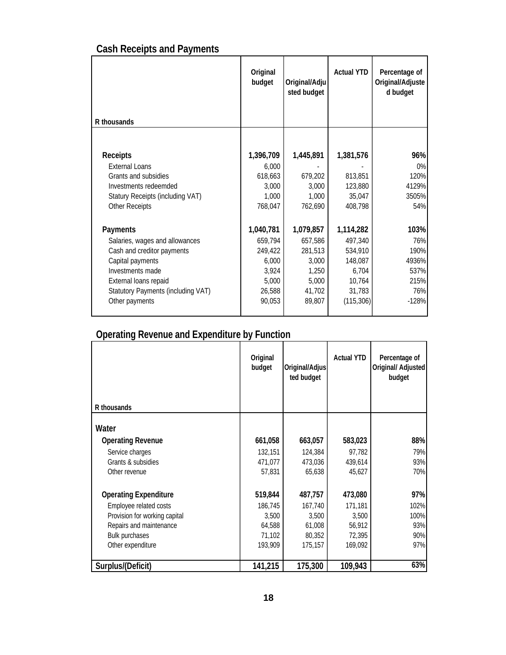## **Cash Receipts and Payments**

|                                    | Original<br>budget | Original/Adju<br>sted budget | <b>Actual YTD</b> | Percentage of<br>Original/Adjuste<br>d budget |
|------------------------------------|--------------------|------------------------------|-------------------|-----------------------------------------------|
| R thousands                        |                    |                              |                   |                                               |
|                                    |                    |                              |                   |                                               |
| <b>Receipts</b>                    | 1,396,709          | 1,445,891                    | 1,381,576         | 96%                                           |
| External Loans                     | 6,000              |                              |                   | $0\%$                                         |
| Grants and subsidies               | 618,663            | 679,202                      | 813,851           | 120%                                          |
| Investments redeemded              | 3,000              | 3,000                        | 123,880           | 4129%                                         |
| Statury Receipts (including VAT)   | 1,000              | 1,000                        | 35,047            | 3505%                                         |
| <b>Other Receipts</b>              | 768,047            | 762,690                      | 408,798           | 54%                                           |
| Payments                           | 1,040,781          | 1,079,857                    | 1,114,282         | 103%                                          |
| Salaries, wages and allowances     | 659,794            | 657,586                      | 497,340           | 76%                                           |
| Cash and creditor payments         | 249,422            | 281,513                      | 534,910           | 190%                                          |
| Capital payments                   | 6,000              | 3,000                        | 148,087           | 4936%                                         |
| Investments made                   | 3,924              | 1,250                        | 6,704             | 537%                                          |
| External loans repaid              | 5,000              | 5,000                        | 10,764            | 215%                                          |
| Statutory Payments (including VAT) | 26,588             | 41,702                       | 31,783            | 76%                                           |
| Other payments                     | 90,053             | 89,807                       | (115, 306)        | $-128%$                                       |
|                                    |                    |                              |                   |                                               |

## **Operating Revenue and Expenditure by Function**

|                               | Original<br>budget | Original/Adjus<br>ted budget | <b>Actual YTD</b> | Percentage of<br>Original/ Adjusted<br>budget |
|-------------------------------|--------------------|------------------------------|-------------------|-----------------------------------------------|
| R thousands                   |                    |                              |                   |                                               |
| Water                         |                    |                              |                   |                                               |
| <b>Operating Revenue</b>      | 661,058            | 663,057                      | 583,023           | 88%                                           |
| Service charges               | 132,151            | 124,384                      | 97,782            | 79%                                           |
| Grants & subsidies            | 471,077            | 473,036                      | 439,614           | 93%                                           |
| Other revenue                 | 57,831             | 65,638                       | 45,627            | 70%                                           |
| <b>Operating Expenditure</b>  | 519,844            | 487,757                      | 473,080           | 97%                                           |
| Employee related costs        | 186,745            | 167,740                      | 171,181           | 102%                                          |
| Provision for working capital | 3,500              | 3,500                        | 3,500             | 100%                                          |
| Repairs and maintenance       | 64,588             | 61,008                       | 56,912            | 93%                                           |
| <b>Bulk purchases</b>         | 71,102             | 80,352                       | 72,395            | 90%                                           |
| Other expenditure             | 193,909            | 175,157                      | 169,092           | 97%                                           |
| Surplus/(Deficit)             | 141,215            | 175,300                      | 109,943           | 63%                                           |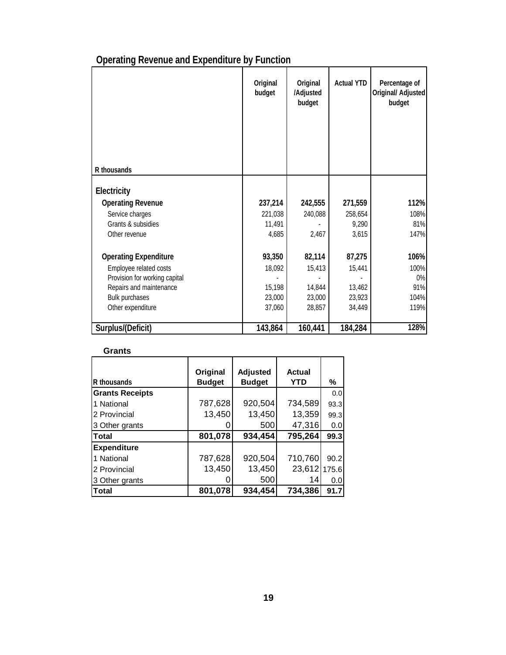| <b>Operating Revenue and Expenditure by Function</b> |  |  |
|------------------------------------------------------|--|--|
|                                                      |  |  |

|                               | Original<br>budget | Original<br>/Adjusted<br>budget | <b>Actual YTD</b> | Percentage of<br>Original/ Adjusted<br>budget |
|-------------------------------|--------------------|---------------------------------|-------------------|-----------------------------------------------|
| R thousands                   |                    |                                 |                   |                                               |
| Electricity                   |                    |                                 |                   |                                               |
| <b>Operating Revenue</b>      | 237,214            | 242,555                         | 271,559           | 112%                                          |
| Service charges               | 221,038            | 240,088                         | 258,654           | 108%                                          |
| Grants & subsidies            | 11,491             |                                 | 9,290             | 81%                                           |
| Other revenue                 | 4,685              | 2,467                           | 3,615             | 147%                                          |
| <b>Operating Expenditure</b>  | 93,350             | 82,114                          | 87,275            | 106%                                          |
| Employee related costs        | 18,092             | 15,413                          | 15,441            | 100%                                          |
| Provision for working capital |                    |                                 |                   | 0%                                            |
| Repairs and maintenance       | 15,198             | 14,844                          | 13,462            | 91%                                           |
| Bulk purchases                | 23,000             | 23,000                          | 23,923            | 104%                                          |
| Other expenditure             | 37,060             | 28,857                          | 34,449            | 119%                                          |
| Surplus/(Deficit)             | 143,864            | 160,441                         | 184,284           | 128%                                          |

### **Grants**

|                        | Original      | <b>Adjusted</b> | Actual     |       |
|------------------------|---------------|-----------------|------------|-------|
| R thousands            | <b>Budget</b> | <b>Budget</b>   | <b>YTD</b> | ℅     |
| <b>Grants Receipts</b> |               |                 |            | 0.0   |
| 1 National             | 787,628       | 920,504         | 734,589    | 93.3  |
| 2 Provincial           | 13,450        | 13,450          | 13,359     | 99.3  |
| 3 Other grants         |               | 500             | 47,316     | 0.0   |
| <b>Total</b>           | 801,078       | 934,454         | 795,264    | 99.3  |
| <b>Expenditure</b>     |               |                 |            |       |
| 1 National             | 787,628       | 920,504         | 710,760    | 90.2  |
| 2 Provincial           | 13,450        | 13,450          | 23,612     | 175.6 |
| 3 Other grants         |               | 500             | 14         | 0.0   |
| Total                  | 801,078       | 934,454         | 734,386    | 91.7  |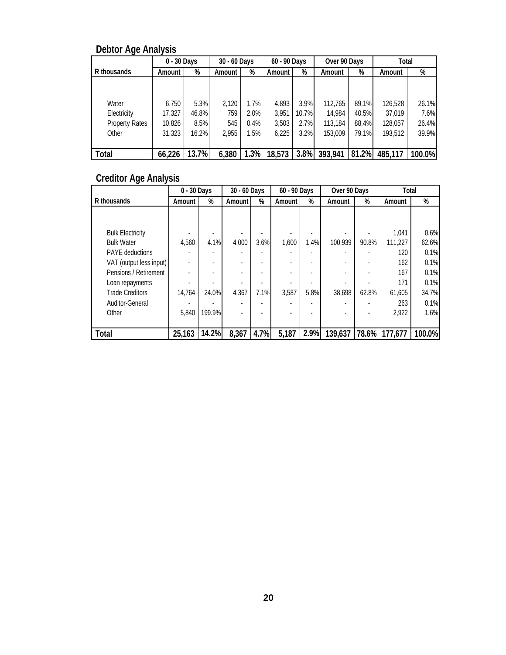### **Debtor Age Analysis**

|                       | 0 - 30 Days |       | 30 - 60 Days |      | 60 - 90 Days |       | Over 90 Days |       | Total   |        |
|-----------------------|-------------|-------|--------------|------|--------------|-------|--------------|-------|---------|--------|
| R thousands           | Amount      | %     | Amount       | %    | Amount       | %     | Amount       | %     | Amount  | %      |
|                       |             |       |              |      |              |       |              |       |         |        |
|                       |             |       |              |      |              |       |              |       |         |        |
| Water                 | 6.750       | 5.3%  | 2.120        | 1.7% | 4.893        | 3.9%  | 112.765      | 89.1% | 126,528 | 26.1%  |
| Electricity           | 17,327      | 46.8% | 759          | 2.0% | 3,951        | 10.7% | 14.984       | 40.5% | 37,019  | 7.6%   |
| <b>Property Rates</b> | 10,826      | 8.5%  | 545          | 0.4% | 3,503        | 2.7%  | 113,184      | 88.4% | 128,057 | 26.4%  |
| Other                 | 31,323      | 16.2% | 2,955        | 1.5% | 6,225        | 3.2%  | 153,009      | 79.1% | 193,512 | 39.9%  |
|                       |             |       |              |      |              |       |              |       |         |        |
| Total                 | 66,226      | 13.7% | 6,380        | 1.3% | 18,573       | 3.8%  | 393,941      | 81.2% | 485,117 | 100.0% |

## **Creditor Age Analysis**

|                         | 0 - 30 Days |        | 30 - 60 Days             |      | 60 - 90 Days |      | Over 90 Days |       | Total   |        |
|-------------------------|-------------|--------|--------------------------|------|--------------|------|--------------|-------|---------|--------|
| R thousands             | Amount      | %      | Amount I                 | %    | Amount       | %    | Amount       | %     | Amount  | %      |
|                         |             |        |                          |      |              |      |              |       |         |        |
|                         |             |        |                          |      |              |      |              |       |         |        |
| <b>Bulk Electricity</b> |             |        |                          |      |              |      |              |       | 1.041   | 0.6%   |
| <b>Bulk Water</b>       | 4.560       | 4.1%   | 4.000                    | 3.6% | 1.600        | 1.4% | 100.939      | 90.8% | 111.227 | 62.6%  |
| <b>PAYE</b> deductions  |             |        | ٠                        |      |              |      |              |       | 120     | 0.1%   |
| VAT (output less input) |             |        | ٠                        |      |              |      |              |       | 162     | 0.1%   |
| Pensions / Retirement   |             |        | ٠                        |      |              |      |              |       | 167     | 0.1%   |
| Loan repayments         |             |        |                          |      |              |      |              |       | 171     | 0.1%   |
| <b>Trade Creditors</b>  | 14,764      | 24.0%  | 4.367                    | 7.1% | 3.587        | 5.8% | 38.698       | 62.8% | 61.605  | 34.7%  |
| Auditor-General         |             |        | -                        |      |              |      |              |       | 263     | 0.1%   |
| Other                   | 5.840       | 199.9% | $\overline{\phantom{0}}$ |      |              |      |              |       | 2.922   | 1.6%   |
|                         |             |        |                          |      |              |      |              |       |         |        |
| Total                   | 25,163      | 14.2%  | 8,367                    | 4.7% | 5,187        | 2.9% | 139,637      | 78.6% | 177,677 | 100.0% |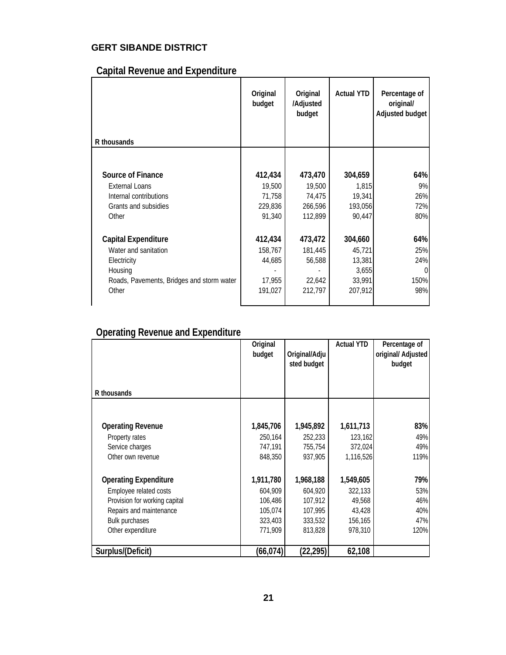### **GERT SIBANDE DISTRICT**

## **Capital Revenue and Expenditure**

| R thousands                               | Original<br>budget | Original<br>/Adjusted<br>budget | <b>Actual YTD</b> | Percentage of<br>original/<br>Adjusted budget |
|-------------------------------------------|--------------------|---------------------------------|-------------------|-----------------------------------------------|
|                                           |                    |                                 |                   |                                               |
|                                           |                    |                                 |                   |                                               |
| <b>Source of Finance</b>                  | 412,434            | 473,470                         | 304,659           | 64%                                           |
| <b>External Loans</b>                     | 19,500             | 19,500                          | 1,815             | 9%                                            |
| Internal contributions                    | 71,758             | 74,475                          | 19,341            | 26%                                           |
| Grants and subsidies                      | 229,836            | 266,596                         | 193,056           | 72%                                           |
| Other                                     | 91,340             | 112,899                         | 90,447            | 80%                                           |
|                                           |                    |                                 |                   |                                               |
| <b>Capital Expenditure</b>                | 412,434            | 473,472                         | 304,660           | 64%                                           |
| Water and sanitation                      | 158,767            | 181,445                         | 45,721            | 25%                                           |
| Electricity                               | 44,685             | 56,588                          | 13,381            | 24%                                           |
| Housing                                   |                    |                                 | 3,655             | $\Omega$                                      |
| Roads, Pavements, Bridges and storm water | 17,955             | 22,642                          | 33,991            | 150%                                          |
| Other                                     | 191,027            | 212,797                         | 207,912           | 98%                                           |
|                                           |                    |                                 |                   |                                               |

### **Operating Revenue and Expenditure**

|                               | Original<br>budget | Original/Adju<br>sted budget | <b>Actual YTD</b> | Percentage of<br>original/ Adjusted<br>budget |
|-------------------------------|--------------------|------------------------------|-------------------|-----------------------------------------------|
| R thousands                   |                    |                              |                   |                                               |
|                               |                    |                              |                   |                                               |
| <b>Operating Revenue</b>      | 1,845,706          | 1,945,892                    | 1,611,713         | 83%                                           |
| Property rates                | 250,164            | 252,233                      | 123,162           | 49%                                           |
| Service charges               | 747,191            | 755,754                      | 372,024           | 49%                                           |
| Other own revenue             | 848,350            | 937,905                      | 1,116,526         | 119%                                          |
| <b>Operating Expenditure</b>  | 1,911,780          | 1,968,188                    | 1,549,605         | 79%                                           |
| Employee related costs        | 604,909            | 604,920                      | 322,133           | 53%                                           |
| Provision for working capital | 106,486            | 107,912                      | 49,568            | 46%                                           |
| Repairs and maintenance       | 105,074            | 107,995                      | 43,428            | 40%                                           |
| <b>Bulk purchases</b>         | 323,403            | 333,532                      | 156,165           | 47%                                           |
| Other expenditure             | 771,909            | 813,828                      | 978,310           | 120%                                          |
| Surplus/(Deficit)             | (66, 074)          | (22, 295)                    | 62,108            |                                               |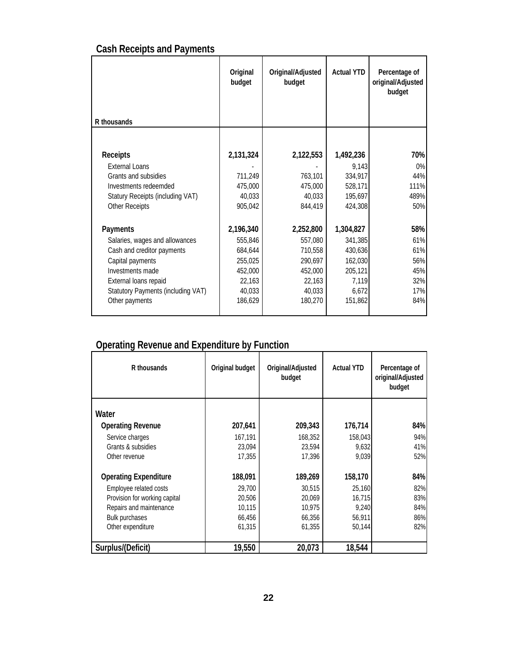## **Cash Receipts and Payments**

|                                    | Original<br>budget | Original/Adjusted<br>budget | <b>Actual YTD</b> | Percentage of<br>original/Adjusted<br>budget |
|------------------------------------|--------------------|-----------------------------|-------------------|----------------------------------------------|
| R thousands                        |                    |                             |                   |                                              |
|                                    |                    |                             |                   |                                              |
| Receipts                           | 2,131,324          | 2,122,553                   | 1,492,236         | 70%                                          |
| <b>External Loans</b>              |                    |                             | 9.143             | 0%                                           |
| Grants and subsidies               | 711,249            | 763,101                     | 334,917           | 44%                                          |
| Investments redeemded              | 475,000            | 475,000                     | 528,171           | 111%                                         |
| Statury Receipts (including VAT)   | 40,033             | 40,033                      | 195,697           | 489%                                         |
| <b>Other Receipts</b>              | 905,042            | 844,419                     | 424,308           | 50%                                          |
| Payments                           | 2,196,340          | 2,252,800                   | 1,304,827         | 58%                                          |
| Salaries, wages and allowances     | 555,846            | 557,080                     | 341,385           | 61%                                          |
| Cash and creditor payments         | 684,644            | 710,558                     | 430,636           | 61%                                          |
| Capital payments                   | 255,025            | 290,697                     | 162,030           | 56%                                          |
| Investments made                   | 452,000            | 452,000                     | 205,121           | 45%                                          |
| External loans repaid              | 22,163             | 22,163                      | 7,119             | 32%                                          |
| Statutory Payments (including VAT) | 40,033             | 40,033                      | 6,672             | 17%                                          |
| Other payments                     | 186,629            | 180,270                     | 151,862           | 84%                                          |

## **Operating Revenue and Expenditure by Function**

| R thousands                   | Original budget | Original/Adjusted<br>budget | <b>Actual YTD</b> | Percentage of<br>original/Adjusted<br>budget |
|-------------------------------|-----------------|-----------------------------|-------------------|----------------------------------------------|
| Water                         |                 |                             |                   |                                              |
| <b>Operating Revenue</b>      | 207,641         | 209,343                     | 176,714           | 84%                                          |
| Service charges               | 167,191         | 168,352                     | 158,043           | 94%                                          |
| Grants & subsidies            | 23,094          | 23,594                      | 9,632             | 41%                                          |
| Other revenue                 | 17,355          | 17,396                      | 9,039             | 52%                                          |
| <b>Operating Expenditure</b>  | 188,091         | 189,269                     | 158,170           | 84%                                          |
| Employee related costs        | 29,700          | 30,515                      | 25,160            | 82%                                          |
| Provision for working capital | 20,506          | 20.069                      | 16.715            | 83%                                          |
| Repairs and maintenance       | 10,115          | 10,975                      | 9,240             | 84%                                          |
| <b>Bulk purchases</b>         | 66,456          | 66,356                      | 56,911            | 86%                                          |
| Other expenditure             | 61,315          | 61,355                      | 50,144            | 82%                                          |
| Surplus/(Deficit)             | 19,550          | 20,073                      | 18,544            |                                              |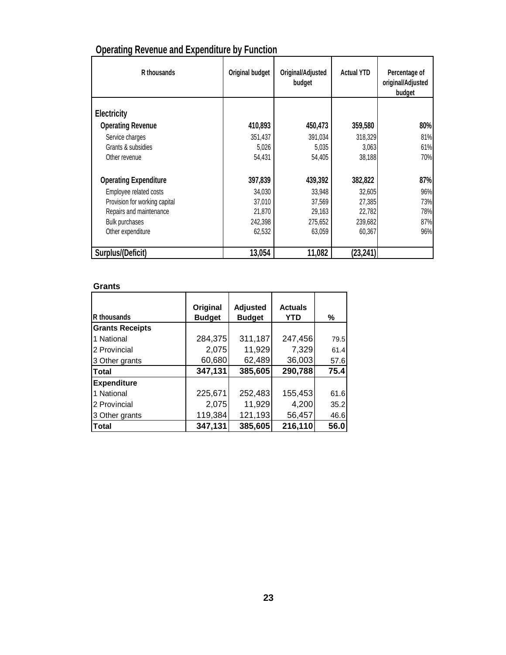| R thousands                   | Original budget | Original/Adjusted<br>budget | <b>Actual YTD</b> | Percentage of<br>original/Adjusted<br>budget |
|-------------------------------|-----------------|-----------------------------|-------------------|----------------------------------------------|
| Electricity                   |                 |                             |                   |                                              |
| <b>Operating Revenue</b>      | 410,893         | 450,473                     | 359,580           | 80%                                          |
| Service charges               | 351,437         | 391,034                     | 318,329           | 81%                                          |
| Grants & subsidies            | 5,026           | 5,035                       | 3,063             | 61%                                          |
| Other revenue                 | 54,431          | 54,405                      | 38,188            | 70%                                          |
| <b>Operating Expenditure</b>  | 397,839         | 439,392                     | 382,822           | 87%                                          |
| Employee related costs        | 34,030          | 33,948                      | 32,605            | 96%                                          |
| Provision for working capital | 37,010          | 37,569                      | 27,385            | 73%                                          |
| Repairs and maintenance       | 21,870          | 29,163                      | 22,782            | 78%                                          |
| <b>Bulk purchases</b>         | 242,398         | 275,652                     | 239,682           | 87%                                          |
| Other expenditure             | 62,532          | 63,059                      | 60,367            | 96%                                          |
| Surplus/(Deficit)             | 13,054          | 11,082                      | (23, 241)         |                                              |

## **Operating Revenue and Expenditure by Function**

### **Grants**

| <b>R</b> thousands     | Original<br><b>Budget</b> | <b>Adjusted</b><br><b>Budget</b> | <b>Actuals</b><br><b>YTD</b> | %    |
|------------------------|---------------------------|----------------------------------|------------------------------|------|
| <b>Grants Receipts</b> |                           |                                  |                              |      |
| 1 National             | 284,375                   | 311,187                          | 247,456                      | 79.5 |
| 2 Provincial           | 2,075                     | 11,929                           | 7,329                        | 61.4 |
| 3 Other grants         | 60,680                    | 62,489                           | 36,003                       | 57.6 |
| <b>Total</b>           | 347,131                   | 385,605                          | 290,788                      | 75.4 |
| <b>Expenditure</b>     |                           |                                  |                              |      |
| 1 National             | 225,671                   | 252,483                          | 155,453                      | 61.6 |
| 2 Provincial           | 2,075                     | 11,929                           | 4,200                        | 35.2 |
| 3 Other grants         | 119,384                   | 121,193                          | 56,457                       | 46.6 |
| <b>Total</b>           | 347,131                   | 385,605                          | 216,110                      | 56.0 |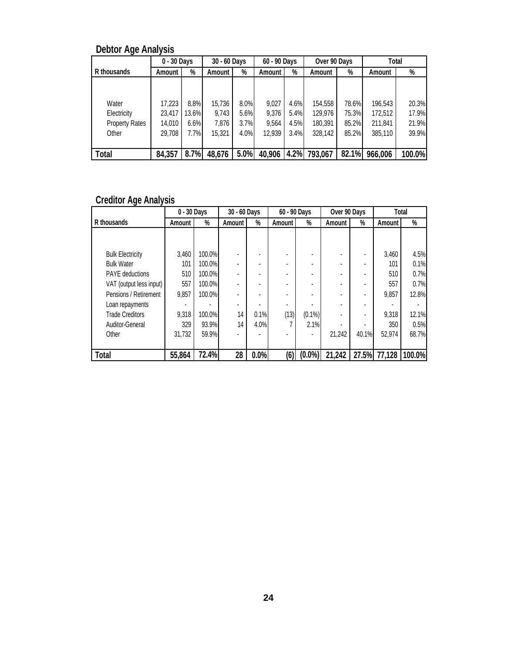## **Debtor Age Analysis**

|                       | 0 - 30 Days |       | 30 - 60 Days<br>60 - 90 Days<br>Over 90 Days |      |        | Total |         |       |         |        |
|-----------------------|-------------|-------|----------------------------------------------|------|--------|-------|---------|-------|---------|--------|
| R thousands           | Amount      | %     | Amount                                       | %    | Amount | %     | Amount  | %     | Amount  | %      |
|                       |             |       |                                              |      |        |       |         |       |         |        |
|                       |             |       |                                              |      |        |       |         |       |         |        |
| Water                 | 17,223      | 8.8%  | 15.736                                       | 8.0% | 9.027  | 4.6%  | 154,558 | 78.6% | 196,543 | 20.3%  |
| Electricity           | 23,417      | 13.6% | 9.743                                        | 5.6% | 9.376  | 5.4%  | 129,976 | 75.3% | 172,512 | 17.9%  |
| <b>Property Rates</b> | 14.010      | 6.6%  | 7.876                                        | 3.7% | 9.564  | 4.5%  | 180,391 | 85.2% | 211,841 | 21.9%  |
| Other                 | 29,708      | 7.7%  | 15,321                                       | 4.0% | 12.939 | 3.4%  | 328,142 | 85.2% | 385,110 | 39.9%  |
|                       |             |       |                                              |      |        |       |         |       |         |        |
| Total                 | 84,357      | 8.7%  | 48,676                                       | 5.0% | 40,906 | 4.2%  | 793,067 | 82.1% | 966,006 | 100.0% |

### **Creditor Age Analysis**

|                         | 0 - 30 Days |        | 30 - 60 Days |      | 60 - 90 Days |           | Over 90 Days |       |        | Total  |
|-------------------------|-------------|--------|--------------|------|--------------|-----------|--------------|-------|--------|--------|
| R thousands             | Amount      | %      | Amount       | %    | Amount       | %         | Amount       | %     | Amount | %      |
|                         |             |        |              |      |              |           |              |       |        |        |
|                         |             |        |              |      |              |           |              |       |        |        |
| <b>Bulk Electricity</b> | 3.460       | 100.0% |              |      |              |           |              |       | 3.460  | 4.5%   |
| <b>Bulk Water</b>       | 101         | 100.0% |              |      |              |           |              |       | 101    | 0.1%   |
| <b>PAYE</b> deductions  | 510         | 100.0% |              |      | ٠            |           |              |       | 510    | 0.7%   |
| VAT (output less input) | 557         | 100.0% |              |      |              |           |              |       | 557    | 0.7%   |
| Pensions / Retirement   | 9.857       | 100.0% |              |      |              |           |              |       | 9.857  | 12.8%  |
| Loan repayments         |             |        |              |      |              |           |              |       |        |        |
| <b>Trade Creditors</b>  | 9.318       | 100.0% | 14           | 0.1% | (13)         | $(0.1\%)$ |              |       | 9.318  | 12.1%  |
| <b>Auditor-General</b>  | 329         | 93.9%  | 14           | 4.0% |              | 2.1%      |              |       | 350    | 0.5%   |
| Other                   | 31.732      | 59.9%  |              |      |              |           | 21.242       | 40.1% | 52.974 | 68.7%  |
|                         |             |        |              |      |              |           |              |       |        |        |
| Total                   | 55,864      | 72.4%  | 28           | 0.0% | (6)          | $(0.0\%)$ | 21,242       | 27.5% | 77,128 | 100.0% |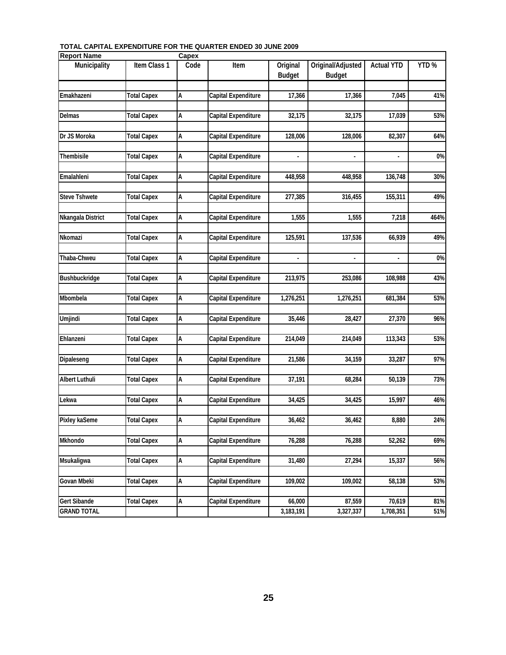| <b>Report Name</b>    |                    | Capex |                            |                           |                                    |                          |      |
|-----------------------|--------------------|-------|----------------------------|---------------------------|------------------------------------|--------------------------|------|
| Municipality          | Item Class 1       | Code  | Item                       | Original<br><b>Budget</b> | Original/Adjusted<br><b>Budget</b> | <b>Actual YTD</b>        | YTD% |
|                       |                    |       |                            |                           |                                    |                          |      |
| Emakhazeni            | <b>Total Capex</b> | А     | Capital Expenditure        | 17,366                    | 17,366                             | 7,045                    | 41%  |
| <b>Delmas</b>         | <b>Total Capex</b> | А     | Capital Expenditure        | 32,175                    | 32,175                             | 17,039                   | 53%  |
| Dr JS Moroka          | <b>Total Capex</b> | Α     | Capital Expenditure        | 128,006                   | 128,006                            | 82,307                   | 64%  |
| Thembisile            | <b>Total Capex</b> | А     | <b>Capital Expenditure</b> |                           | $\blacksquare$                     |                          | 0%   |
|                       |                    |       |                            |                           |                                    |                          |      |
| Emalahleni            | <b>Total Capex</b> | А     | Capital Expenditure        | 448,958                   | 448,958                            | 136,748                  | 30%  |
| <b>Steve Tshwete</b>  | <b>Total Capex</b> | А     | <b>Capital Expenditure</b> | 277,385                   | 316,455                            | 155,311                  | 49%  |
| Nkangala District     | <b>Total Capex</b> | А     | <b>Capital Expenditure</b> | 1,555                     | 1,555                              | 7,218                    | 464% |
| Nkomazi               | <b>Total Capex</b> | А     | Capital Expenditure        | 125,591                   | 137,536                            | 66,939                   | 49%  |
| Thaba-Chweu           | Total Capex        | А     | Capital Expenditure        | $\overline{\phantom{a}}$  | $\blacksquare$                     | $\overline{\phantom{a}}$ | 0%   |
| Bushbuckridge         |                    |       | Capital Expenditure        |                           | 253,086                            | 108.988                  | 43%  |
|                       | <b>Total Capex</b> | А     |                            | 213,975                   |                                    |                          |      |
| Mbombela              | <b>Total Capex</b> | А     | Capital Expenditure        | 1,276,251                 | 1,276,251                          | 681,384                  | 53%  |
| Umjindi               | <b>Total Capex</b> | А     | <b>Capital Expenditure</b> | 35,446                    | 28,427                             | 27,370                   | 96%  |
| Ehlanzeni             | <b>Total Capex</b> | А     | Capital Expenditure        | 214,049                   | 214,049                            | 113,343                  | 53%  |
| Dipaleseng            | <b>Total Capex</b> | А     | Capital Expenditure        | 21,586                    | 34,159                             | 33,287                   | 97%  |
| <b>Albert Luthuli</b> | <b>Total Capex</b> | А     | Capital Expenditure        | 37,191                    | 68,284                             | 50,139                   | 73%  |
|                       |                    |       |                            |                           |                                    |                          |      |
| Lekwa                 | <b>Total Capex</b> | А     | Capital Expenditure        | 34,425                    | 34,425                             | 15,997                   | 46%  |
| Pixley kaSeme         | <b>Total Capex</b> | А     | <b>Capital Expenditure</b> | 36,462                    | 36,462                             | 8,880                    | 24%  |
| Mkhondo               | <b>Total Capex</b> | А     | <b>Capital Expenditure</b> | 76,288                    | 76,288                             | 52,262                   | 69%  |
| Msukaligwa            | <b>Total Capex</b> | А     | <b>Capital Expenditure</b> | 31,480                    | 27,294                             | 15,337                   | 56%  |
|                       |                    |       |                            |                           |                                    |                          |      |
| Govan Mbeki           | <b>Total Capex</b> | А     | Capital Expenditure        | 109,002                   | 109,002                            | 58,138                   | 53%  |
| Gert Sibande          | <b>Total Capex</b> | А     | <b>Capital Expenditure</b> | 66,000                    | 87,559                             | 70,619                   | 81%  |
| <b>GRAND TOTAL</b>    |                    |       |                            | 3,183,191                 | 3,327,337                          | 1,708,351                | 51%  |

#### **TOTAL CAPITAL EXPENDITURE FOR THE QUARTER ENDED 30 JUNE 2009**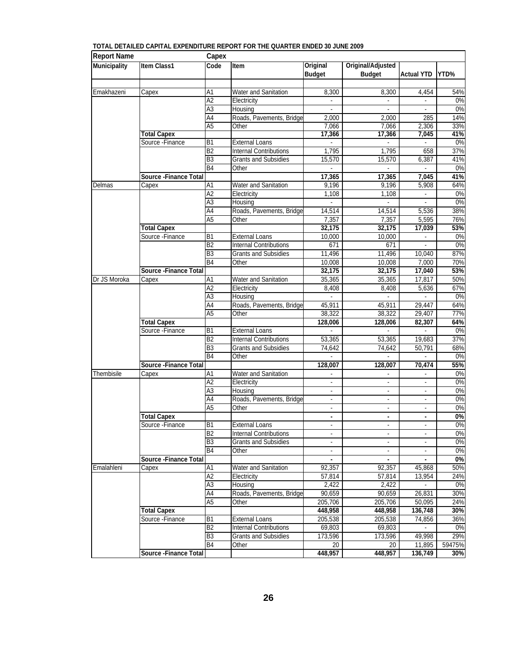| <b>Report Name</b>  |                        | Capex                              |                                     |                          |                          |                          |           |
|---------------------|------------------------|------------------------------------|-------------------------------------|--------------------------|--------------------------|--------------------------|-----------|
| <b>Municipality</b> | Item Class1            | Code                               | Item                                | Original                 | Original/Adjusted        |                          |           |
|                     |                        |                                    |                                     | <b>Budget</b>            | <b>Budget</b>            | <b>Actual YTD</b>        | YTD%      |
|                     |                        |                                    |                                     |                          |                          |                          |           |
| Emakhazeni          | Capex                  | A1                                 | Water and Sanitation                | 8,300                    | 8,300                    | 4,454                    | 54%       |
|                     |                        | A <sub>2</sub>                     | Electricity                         | L,                       |                          |                          | 0%        |
|                     |                        | $\overline{A3}$<br>$\overline{A4}$ | Housing<br>Roads, Pavements, Bridge | 2,000                    | 2,000                    | ÷.<br>285                | 0%<br>14% |
|                     |                        | A <sub>5</sub>                     |                                     | 7,066                    | 7,066                    |                          | 33%       |
|                     | <b>Total Capex</b>     |                                    | Other                               | 17,366                   | 17,366                   | 2,306<br>7,045           | 41%       |
|                     | Source - Finance       | $\overline{B1}$                    | <b>External Loans</b>               |                          |                          |                          | 0%        |
|                     |                        | B <sub>2</sub>                     | <b>Internal Contributions</b>       | 1,795                    | 1,795                    | 658                      | 37%       |
|                     |                        | B <sub>3</sub>                     | <b>Grants and Subsidies</b>         | 15,570                   | 15,570                   | 6,387                    | 41%       |
|                     |                        | B4                                 | Other                               |                          |                          |                          | 0%        |
|                     | Source - Finance Total |                                    |                                     | 17,365                   | 17,365                   | 7,045                    | 41%       |
| Delmas              | $\overline{C}$ apex    | A1                                 | Water and Sanitation                | 9,196                    | 9,196                    | 5,908                    | 64%       |
|                     |                        | A <sub>2</sub>                     | Electricity                         | 1,108                    | 1,108                    | $\overline{\phantom{a}}$ | 0%        |
|                     |                        | A3                                 | Housing                             |                          |                          |                          | 0%        |
|                     |                        | A4                                 | Roads, Pavements, Bridge            | 14,514                   | 14,514                   | 5,536                    | 38%       |
|                     |                        | A <sub>5</sub>                     | Other                               | 7,357                    | 7,357                    | 5,595                    | 76%       |
|                     | <b>Total Capex</b>     |                                    |                                     | 32,175                   | 32,175                   | 17,039                   | 53%       |
|                     | Source - Finance       | <b>B1</b>                          | <b>External Loans</b>               | 10,000                   | 10,000                   |                          | 0%        |
|                     |                        | B <sub>2</sub>                     | <b>Internal Contributions</b>       | 671                      | 671                      |                          | 0%        |
|                     |                        | B <sub>3</sub>                     | Grants and Subsidies                | 11,496                   | 11,496                   | 10,040                   | 87%       |
|                     |                        | B4                                 | Other                               | 10,008                   | 10,008                   | 7,000                    | 70%       |
|                     | Source - Finance Total |                                    |                                     | 32,175                   | 32,175                   | 17,040                   | 53%       |
| Dr JS Moroka        | Capex                  | A1                                 | Water and Sanitation                | 35,365                   | 35,365                   | 17,817                   | 50%       |
|                     |                        | A <sub>2</sub>                     | Electricity                         | 8,408                    | 8,408                    | 5,636                    | 67%       |
|                     |                        | A3                                 | Housing                             |                          |                          |                          | 0%        |
|                     |                        | $\overline{A4}$                    | Roads, Pavements, Bridge            | 45,911                   | 45,911                   | 29,447                   | 64%       |
|                     |                        | A <sub>5</sub>                     | Other                               | 38,322                   | 38,322                   | 29,407                   | 77%       |
|                     | <b>Total Capex</b>     |                                    |                                     | 128,006                  | 128,006                  | 82,307                   | 64%       |
|                     | Source - Finance       | $\overline{B1}$<br>B <sub>2</sub>  | <b>External Loans</b>               |                          |                          |                          | 0%        |
|                     |                        | B <sub>3</sub>                     | <b>Internal Contributions</b>       | 53,365                   | 53,365                   | 19,683                   | 37%       |
|                     |                        | B <sub>4</sub>                     | Grants and Subsidies<br>Other       | 74,642                   | 74,642                   | 50,791                   | 68%<br>0% |
|                     | Source - Finance Total |                                    |                                     | 128,007                  | 128,007                  | 70,474                   | 55%       |
| Thembisile          | Capex                  | A1                                 | Water and Sanitation                | $\frac{1}{2}$            |                          |                          | 0%        |
|                     |                        | A2                                 | Electricity                         | $\sim$                   | $\sim$                   | ÷,                       | 0%        |
|                     |                        | A3                                 | Housing                             | ÷,                       |                          |                          | 0%        |
|                     |                        | $\overline{A4}$                    | Roads, Pavements, Bridge            | $\blacksquare$           | $\overline{\phantom{a}}$ | $\overline{\phantom{a}}$ | 0%        |
|                     |                        | A <sub>5</sub>                     | Other                               | $\overline{a}$           | $\sim$                   | $\blacksquare$           | 0%        |
|                     | <b>Total Capex</b>     |                                    |                                     |                          | $\blacksquare$           |                          | 0%        |
|                     | Source - Finance       | B <sub>1</sub>                     | External Loans                      | $\overline{\phantom{a}}$ |                          |                          | 0%        |
|                     |                        | B <sub>2</sub>                     | <b>Internal Contributions</b>       | $\overline{\phantom{a}}$ | $\overline{\phantom{a}}$ | $\blacksquare$           | 0%        |
|                     |                        | B <sub>3</sub>                     | <b>Grants and Subsidies</b>         |                          |                          |                          | 0%        |
|                     |                        | B4                                 | Other                               |                          |                          |                          | 0%        |
|                     | Source - Finance Total |                                    |                                     | $\blacksquare$           | $\blacksquare$           | $\blacksquare$           | 0%        |
| Emalahleni          | Capex                  | A1                                 | <b>Water and Sanitation</b>         | 92,357                   | 92,357                   | 45,868                   | 50%       |
|                     |                        | A2                                 | Electricity                         | 57,814                   | 57,814                   | 13,954                   | 24%       |
|                     |                        | A3                                 | Housing                             | 2,422                    | 2,422                    |                          | 0%        |
|                     |                        | A4                                 | Roads, Pavements, Bridge            | 90.659                   | 90,659                   | 26,831                   | 30%       |
|                     |                        | A <sub>5</sub>                     | Other                               | 205,706                  | 205,706                  | 50,095                   | 24%       |
|                     | <b>Total Capex</b>     |                                    |                                     | 448,958                  | 448,958                  | 136,748                  | 30%       |
|                     | Source - Finance       | B <sub>1</sub>                     | <b>External Loans</b>               | 205,538                  | 205,538                  | 74,856                   | 36%       |
|                     |                        | B <sub>2</sub>                     | <b>Internal Contributions</b>       | 69,803                   | 69,803                   |                          | 0%        |
|                     |                        | B <sub>3</sub>                     | <b>Grants and Subsidies</b>         | 173,596                  | 173,596                  | 49,998                   | 29%       |
|                     |                        | B <sub>4</sub>                     | Other                               | 20                       | 20                       | 11,895                   | 59475%    |
|                     | Source - Finance Total |                                    |                                     | 448,957                  | 448,957                  | 136,749                  | 30%       |

#### **TOTAL DETAILED CAPITAL EXPENDITURE REPORT FOR THE QUARTER ENDED 30 JUNE 2009**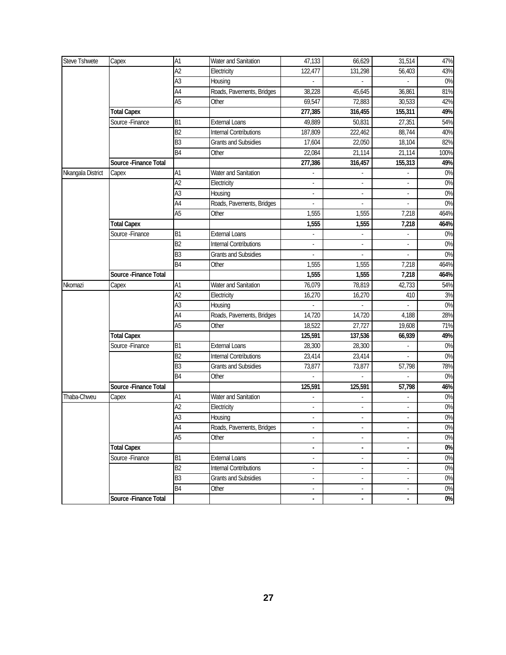| Steve Tshwete     | Capex                  | A1              | Water and Sanitation          | 47,133                   | 66,629                   | 31,514                      | 47%   |
|-------------------|------------------------|-----------------|-------------------------------|--------------------------|--------------------------|-----------------------------|-------|
|                   |                        | $\overline{A2}$ | Electricity                   | 122,477                  | 131,298                  | 56,403                      | 43%   |
|                   |                        | $\overline{A3}$ | Housing                       |                          |                          |                             | 0%    |
|                   |                        | A4              | Roads, Pavements, Bridges     | 38,228                   | 45,645                   | 36,861                      | 81%   |
|                   |                        | A <sub>5</sub>  | Other                         | 69,547                   | 72,883                   | 30,533                      | 42%   |
|                   | <b>Total Capex</b>     |                 |                               | 277,385                  | 316,455                  | 155,311                     | 49%   |
|                   | Source - Finance       | B1              | <b>External Loans</b>         | 49,889                   | 50,831                   | 27,351                      | 54%   |
|                   |                        | B2              | <b>Internal Contributions</b> | 187,809                  | 222,462                  | 88,744                      | 40%   |
|                   |                        | B <sub>3</sub>  | <b>Grants and Subsidies</b>   | 17,604                   | 22,050                   | 18,104                      | 82%   |
|                   |                        | B4              | Other                         | 22,084                   | 21,114                   | 21,114                      | 100%  |
|                   | Source - Finance Total |                 |                               | 277,386                  | 316,457                  | 155,313                     | 49%   |
| Nkangala District | Capex                  | A1              | Water and Sanitation          |                          |                          |                             | 0%    |
|                   |                        | A <sup>2</sup>  | Electricity                   | ÷.                       |                          |                             | 0%    |
|                   |                        | $\overline{A3}$ | Housing                       | $\overline{\phantom{a}}$ | $\overline{a}$           |                             | 0%    |
|                   |                        | A4              | Roads, Pavements, Bridges     |                          | $\overline{a}$           |                             | 0%    |
|                   |                        | A <sub>5</sub>  | Other                         | 1,555                    | 1,555                    | 7,218                       | 464%  |
|                   | <b>Total Capex</b>     |                 |                               | 1,555                    | 1,555                    | 7,218                       | 464%  |
|                   | Source - Finance       | B <sub>1</sub>  | <b>External Loans</b>         |                          |                          |                             | 0%    |
|                   |                        | B <sub>2</sub>  | <b>Internal Contributions</b> |                          | $\overline{a}$           |                             | 0%    |
|                   |                        | B <sub>3</sub>  | <b>Grants and Subsidies</b>   | $\overline{a}$           | $\overline{a}$           | $\overline{\phantom{a}}$    | 0%    |
|                   |                        | B <sub>4</sub>  | Other                         | 1,555                    | 1,555                    | 7,218                       | 464%  |
|                   | Source - Finance Total |                 |                               | 1,555                    | 1,555                    | 7,218                       | 464%  |
| Nkomazi           | Capex                  | A1              | Water and Sanitation          | 76,079                   | 78,819                   | 42,733                      | 54%   |
|                   |                        | $\overline{A2}$ | Electricity                   | 16,270                   | 16,270                   | 410                         | 3%    |
|                   |                        | $\overline{A3}$ | Housing                       |                          | $\overline{a}$           |                             | 0%    |
|                   |                        | A4              | Roads, Pavements, Bridges     | 14,720                   | 14,720                   | 4,188                       | 28%   |
|                   |                        | $\overline{A5}$ | Other                         | 18,522                   | 27,727                   | 19,608                      | 71%   |
|                   | <b>Total Capex</b>     |                 |                               | 125,591                  | 137,536                  | 66,939                      | 49%   |
|                   | Source - Finance       | B <sub>1</sub>  | <b>External Loans</b>         | 28,300                   | 28,300                   |                             | 0%    |
|                   |                        | B2              | <b>Internal Contributions</b> | 23,414                   | 23,414                   | $\overline{a}$              | 0%    |
|                   |                        | B <sub>3</sub>  | <b>Grants and Subsidies</b>   | 73,877                   | 73,877                   | 57,798                      | 78%   |
|                   |                        | B <sub>4</sub>  | Other                         | $\mathbb{Z}^2$           | $\overline{a}$           |                             | 0%    |
|                   | Source - Finance Total |                 |                               | 125,591                  | 125,591                  | 57,798                      | 46%   |
| Thaba-Chweu       | Capex                  | A1              | Water and Sanitation          |                          |                          |                             | 0%    |
|                   |                        | A2              | Electricity                   |                          |                          |                             | 0%    |
|                   |                        | $\overline{A3}$ | Housing                       |                          |                          |                             | $0\%$ |
|                   |                        | A4              | Roads, Pavements, Bridges     |                          |                          |                             | 0%    |
|                   |                        | $\overline{A5}$ | Other                         | $\overline{a}$           | $\overline{a}$           | $\overline{a}$              | 0%    |
|                   | <b>Total Capex</b>     |                 |                               | $\frac{1}{2}$            | $\overline{\phantom{a}}$ | $\overline{\phantom{a}}$    | 0%    |
|                   | Source-Finance         | B <sub>1</sub>  | <b>External Loans</b>         | $\overline{a}$           | $\overline{a}$           | $\overline{\phantom{a}}$    | 0%    |
|                   |                        | B <sub>2</sub>  | <b>Internal Contributions</b> | $\overline{\phantom{a}}$ | $\overline{a}$           | $\mathcal{L}_{\mathcal{A}}$ | 0%    |
|                   |                        | B <sub>3</sub>  | <b>Grants and Subsidies</b>   | $\blacksquare$           | $\overline{\phantom{a}}$ | $\blacksquare$              | 0%    |
|                   |                        | <b>B4</b>       | Other                         | $\overline{\phantom{a}}$ | $\overline{\phantom{a}}$ | $\overline{\phantom{a}}$    | 0%    |
|                   | Source - Finance Total |                 |                               | $\blacksquare$           | $\overline{\phantom{a}}$ | $\blacksquare$              | $0\%$ |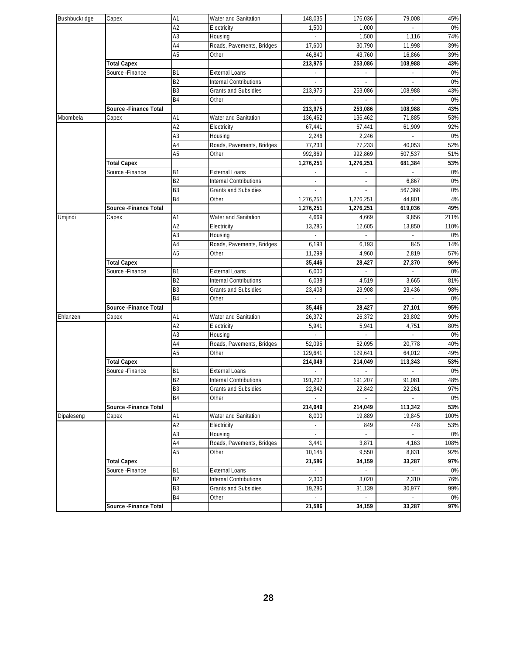| Bushbuckridge | Capex                                  | A1              | Water and Sanitation          | 148,035         | 176,036      | 79,008   | 45%       |
|---------------|----------------------------------------|-----------------|-------------------------------|-----------------|--------------|----------|-----------|
|               |                                        | $\overline{A2}$ | Electricity                   | 1,500           | 1,000        |          | $0\%$     |
|               |                                        | A3              | Housing                       |                 | 1,500        | 1,116    | 74%       |
|               |                                        | A4              | Roads, Pavements, Bridges     | 17,600          | 30,790       | 11,998   | 39%       |
|               |                                        | A <sub>5</sub>  | Other                         | 46,840          | 43,760       | 16,866   | 39%       |
|               | <b>Total Capex</b>                     |                 |                               | 213,975         | 253,086      | 108,988  | 43%       |
|               | Source - Finance                       | <b>B1</b>       | <b>External Loans</b>         |                 |              |          | 0%        |
|               |                                        | B <sub>2</sub>  | <b>Internal Contributions</b> |                 |              |          | $0\%$     |
|               |                                        | B <sub>3</sub>  | <b>Grants and Subsidies</b>   | 213,975         | 253,086      | 108,988  | 43%       |
|               |                                        | B <sub>4</sub>  | Other                         |                 |              |          | 0%        |
|               | Source -Finance Total                  |                 |                               | 213,975         | 253,086      | 108,988  | 43%       |
| Mbombela      | Capex                                  | A1              | Water and Sanitation          | 136,462         | 136,462      | 71,885   | 53%       |
|               |                                        | A2              | Electricity                   | 67,441          | 67,441       | 61,909   | 92%       |
|               |                                        | A <sub>3</sub>  | Housing                       | 2,246           | 2,246        |          | $0\%$     |
|               |                                        | A4              | Roads, Pavements, Bridges     | 77,233          | 77,233       | 40,053   | 52%       |
|               |                                        | A <sub>5</sub>  | Other                         | 992,869         | 992,869      | 507,537  | 51%       |
|               | <b>Total Capex</b>                     |                 |                               | 1,276,251       | 1,276,251    | 681,384  | 53%       |
|               | Source - Finance                       | <b>B1</b>       | <b>External Loans</b>         |                 |              |          | 0%        |
|               |                                        | B2              | <b>Internal Contributions</b> |                 |              | 6,867    | $0\%$     |
|               |                                        | B3              | <b>Grants and Subsidies</b>   |                 |              | 567,368  | $0\%$     |
|               |                                        | B4              | Other                         | 1,276,251       | 1,276,251    | 44,801   | 4%        |
|               | Source - Finance Total                 |                 |                               | 1,276,251       | 1,276,251    | 619,036  | 49%       |
| Umjindi       | Capex                                  | A1              | Water and Sanitation          | 4,669           | 4,669        | 9,856    | 211%      |
|               |                                        | A <sub>2</sub>  | Electricity                   | 13,285          | 12,605       | 13,850   | 110%      |
|               |                                        | A <sub>3</sub>  | Housing                       |                 |              |          | 0%        |
|               |                                        | A <sub>4</sub>  | Roads, Pavements, Bridges     | 6,193           | 6,193        | 845      | 14%       |
|               |                                        | A <sub>5</sub>  | Other                         | 11,299          | 4,960        | 2,819    | 57%       |
|               | <b>Total Capex</b><br>Source - Finance | <b>B1</b>       | <b>External Loans</b>         | 35,446<br>6,000 | 28,427<br>×. | 27,370   | 96%<br>0% |
|               |                                        | B2              | <b>Internal Contributions</b> | 6,038           | 4,519        | 3,665    | 81%       |
|               |                                        | B3              | <b>Grants and Subsidies</b>   | 23,408          | 23,908       | 23,436   | 98%       |
|               |                                        | <b>B4</b>       | Other                         |                 |              |          | 0%        |
|               | Source -Finance Total                  |                 |                               | 35,446          | 28,427       | 27,101   | 95%       |
| Ehlanzeni     | Capex                                  | A1              | Water and Sanitation          | 26,372          | 26,372       | 23,802   | 90%       |
|               |                                        | A <sub>2</sub>  | Electricity                   | 5,941           | 5,941        | 4,751    | 80%       |
|               |                                        | A3              | Housing                       |                 |              |          | 0%        |
|               |                                        | A4              | Roads, Pavements, Bridges     | 52,095          | 52.095       | 20,778   | 40%       |
|               |                                        | A <sub>5</sub>  | Other                         | 129,641         | 129,641      | 64,012   | 49%       |
|               | <b>Total Capex</b>                     |                 |                               | 214,049         | 214,049      | 113,343  | 53%       |
|               | Source - Finance                       | <b>B1</b>       | <b>External Loans</b>         |                 | ×.           |          | $0\%$     |
|               |                                        | <b>B2</b>       | Internal Contributions        | 191,207         | 191,207      | 91,081   | 48%       |
|               |                                        | B <sub>3</sub>  | <b>Grants and Subsidies</b>   | 22,842          | 22,842       | 22,261   | 97%       |
|               |                                        | <b>B4</b>       | Other                         |                 | ÷,           | ÷.       | 0%        |
|               | Source - Finance Total                 |                 |                               | 214,049         | 214,049      | 113,342  | 53%       |
| Dipaleseng    | Capex                                  | A1              | Water and Sanitation          | 8,000           | 19,889       | 19,845   | 100%      |
|               |                                        | A <sub>2</sub>  | Electricity                   |                 | 849          | 448      | 53%       |
|               |                                        | A <sub>3</sub>  | Housing                       |                 |              |          | 0%        |
|               |                                        | A4              | Roads, Pavements, Bridges     | 3,441           | 3,871        | 4,163    | 108%      |
|               |                                        | A <sub>5</sub>  | Other                         | 10,145          | 9,550        | 8,831    | 92%       |
|               | <b>Total Capex</b>                     |                 |                               | 21,586          | 34,159       | 33,287   | 97%       |
|               | Source - Finance                       | <b>B1</b>       | <b>External Loans</b>         |                 | ×.           |          | 0%        |
|               |                                        | B <sub>2</sub>  | Internal Contributions        | 2,300           | 3,020        | 2,310    | 76%       |
|               |                                        | <b>B3</b>       | <b>Grants and Subsidies</b>   | 19,286          | 31,139       | 30.977   | 99%       |
|               |                                        | <b>B4</b>       | Other                         | ÷.              | ä,           | $\omega$ | 0%        |
|               | Source - Finance Total                 |                 |                               | 21,586          | 34,159       | 33,287   | 97%       |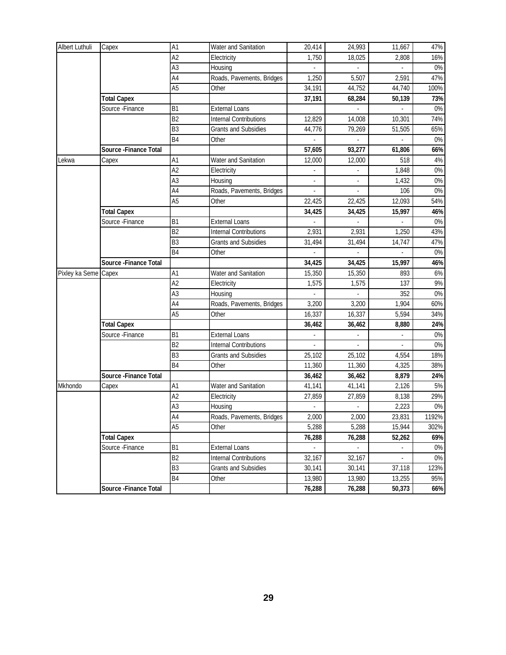| Albert Luthuli       | Capex                  | A1             | Water and Sanitation          | 20,414 | 24,993 | 11,667                   | 47%   |
|----------------------|------------------------|----------------|-------------------------------|--------|--------|--------------------------|-------|
|                      |                        | A2             | Electricity                   | 1,750  | 18,025 | 2,808                    | 16%   |
|                      |                        | A <sub>3</sub> | Housing                       |        |        |                          | $0\%$ |
|                      |                        | AA             | Roads, Pavements, Bridges     | 1,250  | 5,507  | 2,591                    | 47%   |
|                      |                        | A <sub>5</sub> | Other                         | 34,191 | 44,752 | 44,740                   | 100%  |
|                      | <b>Total Capex</b>     |                |                               | 37,191 | 68,284 | 50,139                   | 73%   |
|                      | Source - Finance       | B <sub>1</sub> | <b>External Loans</b>         |        |        |                          | $0\%$ |
|                      |                        | B <sub>2</sub> | Internal Contributions        | 12,829 | 14,008 | 10,301                   | 74%   |
|                      |                        | B3             | <b>Grants and Subsidies</b>   | 44,776 | 79,269 | 51,505                   | 65%   |
|                      |                        | B <sub>4</sub> | Other                         |        |        |                          | 0%    |
|                      | Source - Finance Total |                |                               | 57,605 | 93,277 | 61,806                   | 66%   |
| Lekwa                | Capex                  | A1             | Water and Sanitation          | 12,000 | 12,000 | 518                      | $4\%$ |
|                      |                        | A2             | Electricity                   |        |        | 1,848                    | $0\%$ |
|                      |                        | A <sub>3</sub> | Housing                       |        |        | 1,432                    | 0%    |
|                      |                        | AA             | Roads, Pavements, Bridges     |        |        | 106                      | 0%    |
|                      |                        | A <sub>5</sub> | Other                         | 22,425 | 22,425 | 12,093                   | 54%   |
|                      | <b>Total Capex</b>     |                |                               | 34,425 | 34,425 | 15,997                   | 46%   |
|                      | Source-Finance         | B <sub>1</sub> | <b>External Loans</b>         |        |        | $\overline{\phantom{a}}$ | $0\%$ |
|                      |                        | B <sub>2</sub> | <b>Internal Contributions</b> | 2,931  | 2,931  | 1,250                    | 43%   |
|                      |                        | B3             | <b>Grants and Subsidies</b>   | 31,494 | 31,494 | 14,747                   | 47%   |
|                      |                        | B <sub>4</sub> | Other                         |        |        | $\overline{\phantom{a}}$ | 0%    |
|                      | Source - Finance Total |                |                               | 34,425 | 34,425 | 15,997                   | 46%   |
| Pixley ka Seme Capex |                        | A1             | Water and Sanitation          | 15,350 | 15,350 | 893                      | $6\%$ |
|                      |                        | A2             | Electricity                   | 1,575  | 1,575  | 137                      | 9%    |
|                      |                        | A <sub>3</sub> | Housing                       |        |        | 352                      | $0\%$ |
|                      |                        | A4             | Roads, Pavements, Bridges     | 3,200  | 3,200  | 1,904                    | 60%   |
|                      |                        | A <sub>5</sub> | Other                         | 16,337 | 16,337 | 5,594                    | 34%   |
|                      | <b>Total Capex</b>     |                |                               | 36,462 | 36,462 | 8,880                    | 24%   |
|                      | Source - Finance       | B <sub>1</sub> | <b>External Loans</b>         |        |        |                          | $0\%$ |
|                      |                        | B <sub>2</sub> | <b>Internal Contributions</b> |        |        | $\sim$                   | 0%    |
|                      |                        | B3             | Grants and Subsidies          | 25,102 | 25,102 | 4,554                    | 18%   |
|                      |                        | <b>B4</b>      | Other                         | 11,360 | 11,360 | 4,325                    | 38%   |
|                      | Source - Finance Total |                |                               | 36,462 | 36,462 | 8,879                    | 24%   |
| Mkhondo              | Capex                  | A1             | Water and Sanitation          | 41,141 | 41,141 | 2,126                    | 5%    |
|                      |                        | A2             | Electricity                   | 27,859 | 27,859 | 8,138                    | 29%   |
|                      |                        | A <sub>3</sub> | Housing                       |        |        | 2,223                    | $0\%$ |
|                      |                        | A4             | Roads, Pavements, Bridges     | 2,000  | 2,000  | 23,831                   | 1192% |
|                      |                        | A <sub>5</sub> | Other                         | 5,288  | 5,288  | 15,944                   | 302%  |
|                      | <b>Total Capex</b>     |                |                               | 76,288 | 76,288 | 52,262                   | 69%   |
|                      | Source - Finance       | B <sub>1</sub> | <b>External Loans</b>         |        |        |                          | 0%    |
|                      |                        | B <sub>2</sub> | <b>Internal Contributions</b> | 32,167 | 32,167 |                          | $0\%$ |
|                      |                        | B3             | Grants and Subsidies          | 30,141 | 30,141 | 37,118                   | 123%  |
|                      |                        | <b>B4</b>      | Other                         | 13,980 | 13,980 | 13,255                   | 95%   |
|                      | Source - Finance Total |                |                               | 76,288 | 76,288 | 50,373                   | 66%   |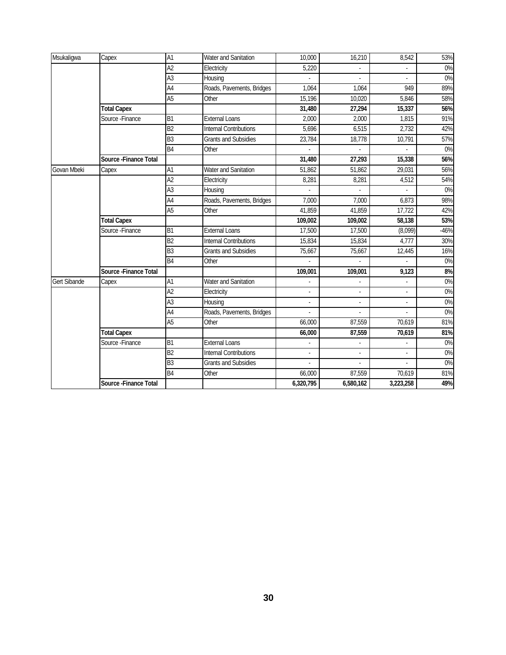| Msukaligwa          | Capex                  | A1              | Water and Sanitation          | 10,000                   | 16,210         | 8,542                    | 53%    |
|---------------------|------------------------|-----------------|-------------------------------|--------------------------|----------------|--------------------------|--------|
|                     |                        | $\overline{A2}$ | Electricity                   | 5,220                    |                |                          | $0\%$  |
|                     |                        | $\overline{A3}$ | Housing                       |                          |                |                          | 0%     |
|                     |                        | $\overline{A4}$ | Roads, Pavements, Bridges     | 1,064                    | 1,064          | 949                      | 89%    |
|                     |                        | A <sub>5</sub>  | Other                         | 15.196                   | 10,020         | 5.846                    | 58%    |
|                     | <b>Total Capex</b>     |                 |                               | 31,480                   | 27,294         | 15,337                   | 56%    |
|                     | Source - Finance       | B1              | <b>External Loans</b>         | 2,000                    | 2,000          | 1,815                    | 91%    |
|                     |                        | B2              | <b>Internal Contributions</b> | 5,696                    | 6,515          | 2,732                    | 42%    |
|                     |                        | B <sub>3</sub>  | <b>Grants and Subsidies</b>   | 23,784                   | 18,778         | 10,791                   | 57%    |
|                     |                        | B <sub>4</sub>  | Other                         |                          |                |                          | $0\%$  |
|                     | Source - Finance Total |                 |                               | 31,480                   | 27,293         | 15,338                   | 56%    |
| <b>Govan Mbeki</b>  | Capex                  | $\overline{A1}$ | Water and Sanitation          | 51,862                   | 51,862         | 29,031                   | 56%    |
|                     |                        | A2              | Electricity                   | 8,281                    | 8,281          | 4,512                    | 54%    |
|                     |                        | $\overline{A3}$ | Housing                       |                          |                |                          | 0%     |
|                     |                        | $\overline{A4}$ | Roads, Pavements, Bridges     | 7,000                    | 7,000          | 6,873                    | 98%    |
|                     |                        | A <sub>5</sub>  | Other                         | 41,859                   | 41,859         | 17,722                   | 42%    |
|                     | <b>Total Capex</b>     |                 |                               | 109,002                  | 109,002        | 58,138                   | 53%    |
|                     | Source - Finance       | B <sub>1</sub>  | <b>External Loans</b>         | 17,500                   | 17,500         | (8,099)                  | $-46%$ |
|                     |                        | B <sub>2</sub>  | <b>Internal Contributions</b> | 15,834                   | 15,834         | 4,777                    | 30%    |
|                     |                        | B3              | <b>Grants and Subsidies</b>   | 75,667                   | 75,667         | 12,445                   | 16%    |
|                     |                        | B <sub>4</sub>  | Other                         |                          |                |                          | 0%     |
|                     | Source - Finance Total |                 |                               | 109,001                  | 109,001        | 9,123                    | 8%     |
| <b>Gert Sibande</b> | Capex                  | A1              | Water and Sanitation          |                          |                |                          | 0%     |
|                     |                        | A2              | Electricity                   | $\overline{\phantom{a}}$ | ÷              | $\overline{\phantom{a}}$ | 0%     |
|                     |                        | A <sub>3</sub>  | Housing                       |                          | $\overline{a}$ | $\overline{a}$           | 0%     |
|                     |                        | $\overline{A4}$ | Roads, Pavements, Bridges     |                          |                |                          | 0%     |
|                     |                        | A <sub>5</sub>  | Other                         | 66.000                   | 87,559         | 70.619                   | 81%    |
|                     | <b>Total Capex</b>     |                 |                               | 66,000                   | 87,559         | 70,619                   | 81%    |
|                     | Source - Finance       | B <sub>1</sub>  | <b>External Loans</b>         |                          |                |                          | 0%     |
|                     |                        | B <sub>2</sub>  | <b>Internal Contributions</b> |                          |                |                          | 0%     |
|                     |                        | B <sub>3</sub>  | <b>Grants and Subsidies</b>   |                          |                |                          | 0%     |
|                     |                        | <b>B4</b>       | Other                         | 66,000                   | 87,559         | 70,619                   | 81%    |
|                     | Source - Finance Total |                 |                               | 6,320,795                | 6,580,162      | 3,223,258                | 49%    |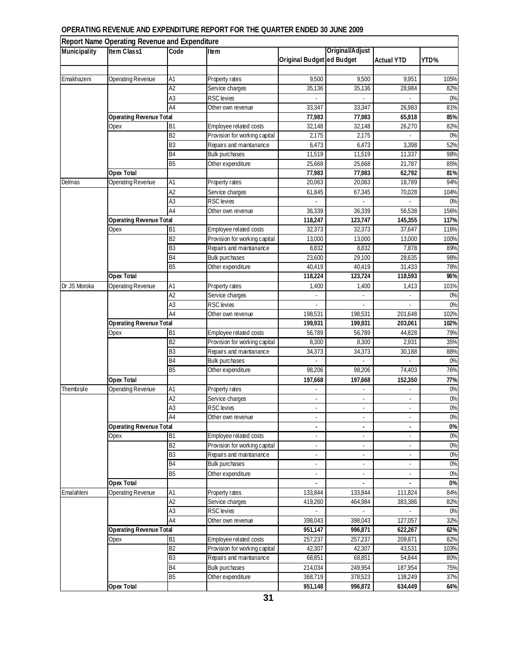#### **OPERATING REVENUE AND EXPENDITURE REPORT FOR THE QUARTER ENDED 30 JUNE 2009**

|              | Report Name Operating Revenue and Expenditure |                |                               |                           |                          |                          |       |
|--------------|-----------------------------------------------|----------------|-------------------------------|---------------------------|--------------------------|--------------------------|-------|
| Municipality | Item Class1                                   | Code           | Item                          |                           | Original/Adjust          |                          |       |
|              |                                               |                |                               | Original Budget ed Budget |                          | <b>Actual YTD</b>        | YTD%  |
|              |                                               |                |                               |                           |                          |                          |       |
| Emakhazeni   | Operating Revenue                             | A1             | Property rates                | 9,500                     | 9,500                    | 9,951                    | 105%  |
|              |                                               | A <sub>2</sub> | Service charges               | 35,136                    | 35,136                   | 28,984                   | 82%   |
|              |                                               | A <sub>3</sub> | <b>RSC</b> levies             |                           |                          |                          | $0\%$ |
|              |                                               | A4             | Other own revenue             | 33,347                    | 33,347                   | 26,983                   | 81%   |
|              | <b>Operating Revenue Total</b>                |                |                               | 77,983                    | 77,983                   | 65,918                   | 85%   |
|              | Opex                                          | Β1             | Employee related costs        | 32,148                    | 32,148                   | 26,270                   | 82%   |
|              |                                               | B2             | Provision for working capital | 2,175                     | 2,175                    |                          | 0%    |
|              |                                               | B <sub>3</sub> | Repairs and maintanance       | 6,473                     | 6,473                    | 3,398                    | 52%   |
|              |                                               | B4             | <b>Bulk purchases</b>         | 11,519                    | 11,519                   | 11,337                   | 98%   |
|              |                                               | <b>B5</b>      | Other expenditure             | 25,668                    | 25,668                   | 21,787                   | 85%   |
|              | Opex Total                                    |                |                               | 77,983                    | 77,983                   | 62,792                   | 81%   |
| Delmas       | <b>Operating Revenue</b>                      | A1             | Property rates                | 20,063                    | 20,063                   | 18,789                   | 94%   |
|              |                                               | A <sub>2</sub> | Service charges               | 61,845                    | 67,345                   | 70,028                   | 104%  |
|              |                                               | A3             | <b>RSC</b> levies             |                           |                          |                          | 0%    |
|              |                                               | A4             | Other own revenue             | 36,339                    | 36,339                   | 56,538                   | 156%  |
|              | <b>Operating Revenue Total</b>                |                |                               | 118,247                   | 123,747                  | 145,355                  | 117%  |
|              | Opex                                          | B <sub>1</sub> | Employee related costs        | 32,373                    | 32,373                   | 37,647                   | 116%  |
|              |                                               | B <sub>2</sub> | Provision for working capital | 13,000                    | 13,000                   | 13,000                   | 100%  |
|              |                                               | B <sub>3</sub> | Repairs and maintanance       | 8,832                     | 8,832                    | 7,878                    | 89%   |
|              |                                               | B <sub>4</sub> | <b>Bulk purchases</b>         | 23.600                    | 29,100                   | 28,635                   | 98%   |
|              |                                               | <b>B5</b>      | Other expenditure             | 40,419                    | 40,419                   | 31,433                   | 78%   |
|              | Opex Total                                    |                |                               | 118,224                   | 123,724                  | 118,593                  | 96%   |
| Dr JS Moroka | <b>Operating Revenue</b>                      | A1             | Property rates                | 1,400                     | 1,400                    | 1,413                    | 101%  |
|              |                                               | A <sub>2</sub> | Service charges               |                           | $\overline{\phantom{a}}$ |                          | 0%    |
|              |                                               | A3             | <b>RSC</b> levies             |                           | ÷,                       |                          | 0%    |
|              |                                               | A <sub>4</sub> | Other own revenue             | 198,531                   | 198,531                  | 201,648                  | 102%  |
|              | <b>Operating Revenue Total</b>                |                |                               | 199,931                   | 199,931                  | 203,061                  | 102%  |
|              | Opex                                          | B <sub>1</sub> | Employee related costs        | 56,789                    | 56,789                   | 44,828                   | 79%   |
|              |                                               | B <sub>2</sub> | Provision for working capital | 8,300                     | 8,300                    | 2,931                    | 35%   |
|              |                                               | B <sub>3</sub> | Repairs and maintanance       | 34,373                    | 34,373                   | 30,188                   | 88%   |
|              |                                               | B <sub>4</sub> | <b>Bulk purchases</b>         |                           |                          |                          | $0\%$ |
|              |                                               | <b>B5</b>      | Other expenditure             | 98.206                    | 98,206                   | 74,403                   | 76%   |
|              | Opex Total                                    |                |                               | 197,668                   | 197,668                  | 152,350                  | 77%   |
| Thembisile   | <b>Operating Revenue</b>                      | A1             | Property rates                |                           |                          |                          | 0%    |
|              |                                               | A2             | Service charges               |                           |                          |                          | $0\%$ |
|              |                                               | A <sub>3</sub> | <b>RSC</b> levies             |                           |                          |                          | $0\%$ |
|              |                                               | A4             | Other own revenue             |                           |                          |                          | $0\%$ |
|              | <b>Operating Revenue Total</b>                |                |                               |                           |                          |                          | 0%    |
|              | Opex                                          | <b>B1</b>      | Employee related costs        |                           | ÷.                       |                          | $0\%$ |
|              |                                               | B <sub>2</sub> | Provision for working capital | $\sim$                    | $\omega$                 | $\sim$                   | $0\%$ |
|              |                                               | B <sub>3</sub> | Repairs and maintanance       | $\overline{\phantom{a}}$  | $\overline{\phantom{a}}$ | $\overline{\phantom{a}}$ | $0\%$ |
|              |                                               | B4             | Bulk purchases                | $\overline{\phantom{a}}$  | ٠                        | $\overline{\phantom{a}}$ | 0%    |
|              |                                               | <b>B5</b>      | Other expenditure             | $\overline{\phantom{a}}$  | $\blacksquare$           |                          | $0\%$ |
|              | <b>Opex Total</b>                             |                |                               | $\blacksquare$            | $\overline{\phantom{a}}$ | $\overline{\phantom{a}}$ | 0%    |
| Emalahleni   | <b>Operating Revenue</b>                      | A1             | Property rates                | 133,844                   | 133,844                  | 111,824                  | 84%   |
|              |                                               | A2             | Service charges               | 419,260                   | 464,984                  | 383,386                  | 82%   |
|              |                                               | A3             | <b>RSC</b> levies             |                           |                          |                          | 0%    |
|              |                                               | A4             | Other own revenue             | 398,043                   | 398,043                  | 127,057                  | 32%   |
|              | <b>Operating Revenue Total</b>                |                |                               | 951,147                   | 996,871                  | 622,267                  | 62%   |
|              | Opex                                          | B <sub>1</sub> | Employee related costs        | 257,237                   | 257,237                  | 209,871                  | 82%   |
|              |                                               | B <sub>2</sub> | Provision for working capital | 42,307                    | 42,307                   | 43,531                   | 103%  |
|              |                                               | B3             | Repairs and maintanance       | 68,851                    | 68,851                   | 54,844                   | 80%   |
|              |                                               | B <sub>4</sub> | Bulk purchases                | 214,034                   | 249,954                  | 187,954                  | 75%   |
|              |                                               | B <sub>5</sub> | Other expenditure             | 368,719                   | 378,523                  | 138,249                  | 37%   |
|              | Opex Total                                    |                |                               | 951,148                   | 996,872                  | 634,449                  | 64%   |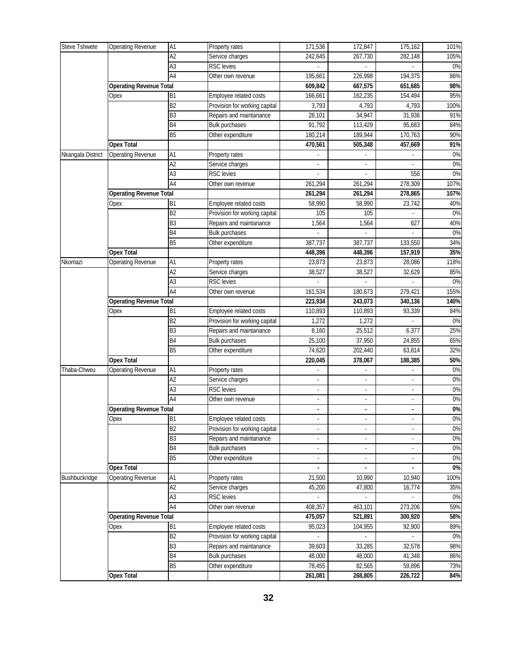| <b>Steve Tshwete</b> | <b>Operating Revenue</b>       | A1              | Property rates                | 171,536                  | 172,847                  | 175,162                  | 101%  |
|----------------------|--------------------------------|-----------------|-------------------------------|--------------------------|--------------------------|--------------------------|-------|
|                      |                                | A <sub>2</sub>  | Service charges               | 242,645                  | 267,730                  | 282,148                  | 105%  |
|                      |                                | A3              | <b>RSC</b> levies             |                          |                          |                          | 0%    |
|                      |                                | A4              | Other own revenue             | 195,661                  | 226,998                  | 194,375                  | 86%   |
|                      | <b>Operating Revenue Total</b> |                 |                               | 609,842                  | 667,575                  | 651,685                  | 98%   |
|                      | Opex                           | <b>B1</b>       | Employee related costs        | 166,661                  | 162,235                  | 154,494                  | 95%   |
|                      |                                | B <sub>2</sub>  | Provision for working capital | 3,793                    | 4,793                    | 4,793                    | 100%  |
|                      |                                | B <sub>3</sub>  | Repairs and maintanance       | 28,101                   | 34,947                   | 31,936                   | 91%   |
|                      |                                | B <sub>4</sub>  | <b>Bulk purchases</b>         | 91,792                   | 113,429                  | 95,683                   | 84%   |
|                      |                                | B <sub>5</sub>  | Other expenditure             | 180,214                  | 189,944                  | 170,763                  | 90%   |
|                      | <b>Opex Total</b>              |                 |                               | 470,561                  | 505,348                  | 457,669                  | 91%   |
| Nkangala District    | <b>Operating Revenue</b>       | A1              | Property rates                |                          |                          |                          | $0\%$ |
|                      |                                | A <sub>2</sub>  | Service charges               |                          |                          |                          | 0%    |
|                      |                                | A <sub>3</sub>  | <b>RSC</b> levies             |                          |                          | 556                      | $0\%$ |
|                      |                                | A4              | Other own revenue             | 261,294                  | 261,294                  | 278,309                  | 107%  |
|                      | <b>Operating Revenue Total</b> |                 |                               | 261,294                  | 261,294                  | 278,865                  | 107%  |
|                      | Opex                           | Β1              | Employee related costs        | 58,990                   | 58.990                   | 23,742                   | 40%   |
|                      |                                | B <sub>2</sub>  | Provision for working capital | 105                      | 105                      |                          | $0\%$ |
|                      |                                | B <sub>3</sub>  | Repairs and maintanance       | 1,564                    | 1,564                    | 627                      | 40%   |
|                      |                                | B <sub>4</sub>  | <b>Bulk purchases</b>         |                          |                          |                          | $0\%$ |
|                      |                                | <b>B5</b>       | Other expenditure             | 387,737                  | 387,737                  | 133,550                  | 34%   |
|                      | <b>Opex Total</b>              |                 |                               | 448,396                  | 448,396                  | 157,919                  | 35%   |
| Nkomazi              | Operating Revenue              | A1              | Property rates                | 23,873                   | 23,873                   | 28,086                   | 118%  |
|                      |                                | $\overline{A2}$ | Service charges               | 38,527                   | 38,527                   | 32,629                   | 85%   |
|                      |                                | $\overline{A3}$ | <b>RSC</b> levies             |                          |                          |                          | $0\%$ |
|                      |                                | A4              | Other own revenue             | 161,534                  | 180,673                  | 279,421                  | 155%  |
|                      | <b>Operating Revenue Total</b> |                 |                               | 223,934                  | 243,073                  | 340,136                  | 140%  |
|                      | Opex                           | B <sub>1</sub>  | Employee related costs        | 110,893                  | 110,893                  | 93,339                   | 84%   |
|                      |                                | B <sub>2</sub>  | Provision for working capital | 1,272                    | 1,272                    |                          | 0%    |
|                      |                                | B <sub>3</sub>  | Repairs and maintanance       | 8,160                    | 25,512                   | 6,377                    | 25%   |
|                      |                                | B <sub>4</sub>  | <b>Bulk purchases</b>         | 25,100                   | 37,950                   | 24,855                   | 65%   |
|                      |                                | B <sub>5</sub>  | Other expenditure             | 74,620                   | 202,440                  | 63,814                   | 32%   |
|                      | <b>Opex Total</b>              |                 |                               | 220,045                  | 378,067                  | 188,385                  | 50%   |
| Thaba-Chweu          | Operating Revenue              | A1              | Property rates                | ä,                       | $\blacksquare$           | ÷,                       | $0\%$ |
|                      |                                | A <sub>2</sub>  | Service charges               |                          | $\frac{1}{2}$            |                          | 0%    |
|                      |                                | A <sub>3</sub>  | <b>RSC</b> levies             | $\blacksquare$           | $\overline{\phantom{a}}$ | $\overline{\phantom{a}}$ | $0\%$ |
|                      |                                | A4              | Other own revenue             | ÷,                       | $\blacksquare$           | $\overline{\phantom{a}}$ | 0%    |
|                      | <b>Operating Revenue Total</b> |                 |                               |                          |                          |                          | $0\%$ |
|                      | Opex                           | <b>B1</b>       | Employee related costs        | $\overline{\phantom{a}}$ | $\overline{\phantom{a}}$ | $\overline{\phantom{a}}$ | 0%    |
|                      |                                | B <sub>2</sub>  | Provision for working capital | $\overline{\phantom{a}}$ | ۰                        |                          | $0\%$ |
|                      |                                | B3              | Repairs and maintanance       |                          | $\overline{\phantom{a}}$ |                          | $0\%$ |
|                      |                                | B4              | <b>Bulk purchases</b>         | $\overline{\phantom{a}}$ | $\omega$                 | $\mathbb{Z}$             | $0\%$ |
|                      |                                | <b>B5</b>       | Other expenditure             | $\blacksquare$           | $\blacksquare$           | $\overline{\phantom{a}}$ | $0\%$ |
|                      | Opex Total                     |                 |                               | ÷,                       | $\overline{\phantom{a}}$ |                          | $0\%$ |
| Bushbuckridge        | <b>Operating Revenue</b>       | A1              | Property rates                | 21,500                   | 10,990                   | 10,940                   | 100%  |
|                      |                                | $\overline{A2}$ | Service charges               | 45,200                   | 47,800                   | 16,774                   | 35%   |
|                      |                                | A <sub>3</sub>  | RSC levies                    |                          |                          |                          | 0%    |
|                      |                                | A4              | Other own revenue             | 408,357                  | 463,101                  | 273,206                  | 59%   |
|                      | <b>Operating Revenue Total</b> |                 |                               | 475,057                  | 521,891                  | 300,920                  | 58%   |
|                      | Opex                           | <b>B1</b>       | Employee related costs        | 95,023                   | 104,955                  | 92,900                   | 89%   |
|                      |                                | B2              | Provision for working capital |                          |                          |                          | $0\%$ |
|                      |                                | B <sub>3</sub>  | Repairs and maintanance       | 39,603                   | 33,285                   | 32,578                   | 98%   |
|                      |                                | B <sub>4</sub>  | <b>Bulk purchases</b>         | 48,000                   | 48,000                   | 41,348                   | 86%   |
|                      |                                | <b>B5</b>       | Other expenditure             | 78,455                   | 82,565                   | 59,896                   | 73%   |
|                      | <b>Opex Total</b>              |                 |                               | 261,081                  | 268,805                  | 226,722                  | 84%   |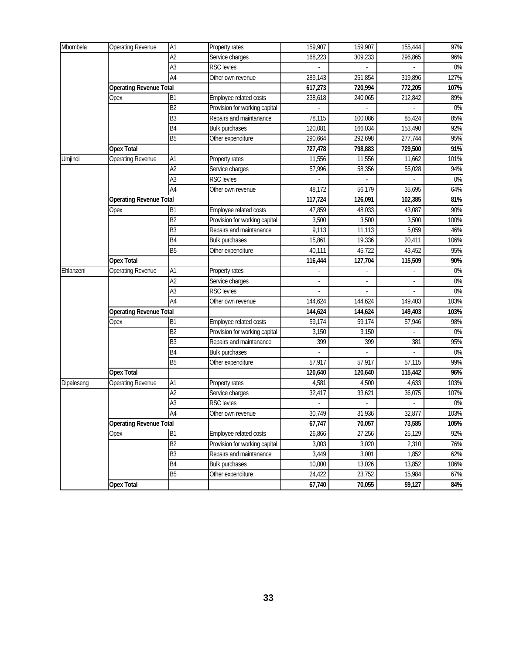| Mbombela   | <b>Operating Revenue</b>       | A1              | Property rates                | 159,907        | 159,907        | 155,444 | 97%   |
|------------|--------------------------------|-----------------|-------------------------------|----------------|----------------|---------|-------|
|            |                                | A2              | Service charges               | 168,223        | 309,233        | 296.865 | 96%   |
|            |                                | A <sub>3</sub>  | <b>RSC</b> levies             |                |                |         | $0\%$ |
|            |                                | A4              | Other own revenue             | 289,143        | 251,854        | 319,896 | 127%  |
|            | Operating Revenue Total        |                 |                               | 617,273        | 720,994        | 772,205 | 107%  |
|            | Opex                           | B <sub>1</sub>  | Employee related costs        | 238,618        | 240,065        | 212,842 | 89%   |
|            |                                | B2              | Provision for working capital |                |                |         | $0\%$ |
|            |                                | B3              | Repairs and maintanance       | 78,115         | 100,086        | 85,424  | 85%   |
|            |                                | B <sub>4</sub>  | <b>Bulk purchases</b>         | 120,081        | 166,034        | 153,490 | 92%   |
|            |                                | <b>B5</b>       | Other expenditure             | 290,664        | 292,698        | 277,744 | 95%   |
|            | <b>Opex Total</b>              |                 |                               | 727,478        | 798,883        | 729,500 | 91%   |
| Umjindi    | <b>Operating Revenue</b>       | A1              | Property rates                | 11,556         | 11,556         | 11,662  | 101%  |
|            |                                | A2              | Service charges               | 57,996         | 58,356         | 55,028  | 94%   |
|            |                                | A <sub>3</sub>  | <b>RSC</b> levies             |                |                |         | $0\%$ |
|            |                                | $\overline{A4}$ | Other own revenue             | 48,172         | 56,179         | 35,695  | 64%   |
|            | <b>Operating Revenue Total</b> |                 |                               | 117,724        | 126,091        | 102,385 | 81%   |
|            | Opex                           | <b>B1</b>       | Employee related costs        | 47,859         | 48,033         | 43,087  | 90%   |
|            |                                | B <sub>2</sub>  | Provision for working capital | 3,500          | 3,500          | 3,500   | 100%  |
|            |                                | B3              | Repairs and maintanance       | 9,113          | 11,113         | 5,059   | 46%   |
|            |                                | <b>B4</b>       | <b>Bulk purchases</b>         | 15,861         | 19,336         | 20,411  | 106%  |
|            |                                | <b>B5</b>       | Other expenditure             | 40,111         | 45,722         | 43,452  | 95%   |
|            | Opex Total                     |                 |                               | 116,444        | 127,704        | 115,509 | 90%   |
| Ehlanzeni  | <b>Operating Revenue</b>       | A1              | Property rates                |                |                |         | $0\%$ |
|            |                                | A2              | Service charges               |                | $\overline{a}$ |         | $0\%$ |
|            |                                | A <sub>3</sub>  | <b>RSC</b> levies             | $\overline{a}$ | $\overline{a}$ |         | $0\%$ |
|            |                                | A4              | Other own revenue             | 144,624        | 144,624        | 149,403 | 103%  |
|            | <b>Operating Revenue Total</b> |                 |                               | 144,624        | 144,624        | 149,403 | 103%  |
|            | Opex                           | B <sub>1</sub>  | Employee related costs        | 59,174         | 59,174         | 57,946  | 98%   |
|            |                                | B2              | Provision for working capital | 3,150          | 3,150          |         | $0\%$ |
|            |                                | B <sub>3</sub>  | Repairs and maintanance       | 399            | 399            | 381     | 95%   |
|            |                                | B <sub>4</sub>  | <b>Bulk purchases</b>         |                |                |         | $0\%$ |
|            |                                | <b>B5</b>       | Other expenditure             | 57,917         | 57,917         | 57,115  | 99%   |
|            | <b>Opex Total</b>              |                 |                               | 120,640        | 120.640        | 115,442 | 96%   |
| Dipaleseng | <b>Operating Revenue</b>       | A1              | Property rates                | 4,581          | 4,500          | 4,633   | 103%  |
|            |                                | A2              | Service charges               | 32,417         | 33,621         | 36,075  | 107%  |
|            |                                | A <sub>3</sub>  | RSC levies                    |                |                |         | $0\%$ |
|            |                                | A4              | Other own revenue             | 30,749         | 31,936         | 32,877  | 103%  |
|            | <b>Operating Revenue Total</b> |                 |                               | 67,747         | 70,057         | 73,585  | 105%  |
|            | Opex                           | <b>B1</b>       | Employee related costs        | 26,866         | 27,256         | 25,129  | 92%   |
|            |                                | B2              | Provision for working capital | 3,003          | 3,020          | 2,310   | 76%   |
|            |                                | B <sub>3</sub>  | Repairs and maintanance       | 3,449          | 3,001          | 1,852   | 62%   |
|            |                                | B4              | <b>Bulk purchases</b>         | 10,000         | 13,026         | 13,852  | 106%  |
|            |                                | B <sub>5</sub>  | Other expenditure             | 24,422         | 23,752         | 15,984  | 67%   |
|            | <b>Opex Total</b>              |                 |                               | 67,740         | 70,055         | 59,127  | 84%   |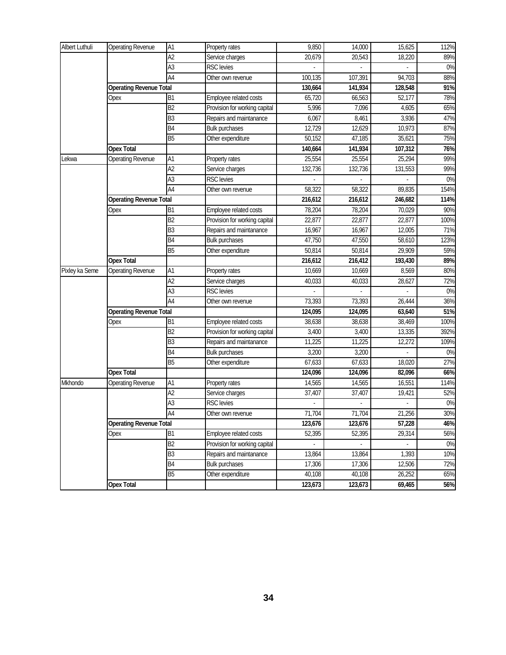| <b>Albert Luthuli</b> | <b>Operating Revenue</b>       | $\overline{A1}$ | Property rates                | 9,850   | 14,000           | 15,625  | 112% |
|-----------------------|--------------------------------|-----------------|-------------------------------|---------|------------------|---------|------|
|                       |                                | A2              | Service charges               | 20,679  | 20,543           | 18,220  | 89%  |
|                       |                                | A3              | <b>RSC</b> levies             |         |                  |         | 0%   |
|                       |                                | A4              | Other own revenue             | 100,135 | 107,391          | 94,703  | 88%  |
|                       | <b>Operating Revenue Total</b> |                 |                               | 130,664 | 141,934          | 128,548 | 91%  |
|                       | Opex                           | <b>B1</b>       | Employee related costs        | 65,720  | 66,563           | 52,177  | 78%  |
|                       |                                | <b>B2</b>       | Provision for working capital | 5,996   | 7,096            | 4,605   | 65%  |
|                       |                                | B <sub>3</sub>  | Repairs and maintanance       | 6,067   | 8,461            | 3,936   | 47%  |
|                       |                                | B4              | <b>Bulk purchases</b>         | 12,729  | 12,629           | 10,973  | 87%  |
|                       |                                | <b>B5</b>       | Other expenditure             | 50,152  | 47,185           | 35,621  | 75%  |
|                       | <b>Opex Total</b>              |                 |                               | 140,664 | 141,934          | 107,312 | 76%  |
| Lekwa                 | <b>Operating Revenue</b>       | A1              | Property rates                | 25,554  | 25,554           | 25,294  | 99%  |
|                       |                                | $\overline{A2}$ | Service charges               | 132,736 | 132,736          | 131,553 | 99%  |
|                       |                                | A3              | <b>RSC</b> levies             |         |                  |         | 0%   |
|                       |                                | A4              | Other own revenue             | 58,322  | 58,322           | 89,835  | 154% |
|                       | <b>Operating Revenue Total</b> |                 |                               | 216,612 | 216,612          | 246,682 | 114% |
|                       | Opex                           | <b>B1</b>       | Employee related costs        | 78,204  | 78,204           | 70,029  | 90%  |
|                       |                                | B <sub>2</sub>  | Provision for working capital | 22,877  | 22,877           | 22,877  | 100% |
|                       |                                | B <sub>3</sub>  | Repairs and maintanance       | 16,967  | 16,967           | 12,005  | 71%  |
|                       |                                | B4              | <b>Bulk purchases</b>         | 47,750  | 47,550           | 58,610  | 123% |
|                       |                                | B <sub>5</sub>  | Other expenditure             | 50,814  | 50,814           | 29,909  | 59%  |
|                       | <b>Opex Total</b>              |                 |                               | 216,612 | 216,412          | 193,430 | 89%  |
| Pixley ka Seme        | <b>Operating Revenue</b>       | A1              | Property rates                | 10,669  | 10,669           | 8,569   | 80%  |
|                       |                                | A2              | Service charges               | 40,033  | 40,033           | 28,627  | 72%  |
|                       |                                | A3              | <b>RSC</b> levies             |         |                  |         | 0%   |
|                       |                                | $\overline{A4}$ | Other own revenue             | 73,393  | 73,393           | 26,444  | 36%  |
|                       | <b>Operating Revenue Total</b> |                 |                               | 124,095 | 124,095          | 63,640  | 51%  |
|                       | Opex                           | B <sub>1</sub>  | Employee related costs        | 38,638  | 38,638           | 38,469  | 100% |
|                       |                                | B <sub>2</sub>  | Provision for working capital | 3,400   | 3,400            | 13,335  | 392% |
|                       |                                | B3              | Repairs and maintanance       | 11,225  | 11,225           | 12,272  | 109% |
|                       |                                | B4              | <b>Bulk purchases</b>         | 3,200   | 3,200            |         | 0%   |
|                       |                                | $\overline{B5}$ | Other expenditure             | 67,633  | 67,633           | 18,020  | 27%  |
|                       | <b>Opex Total</b>              |                 |                               | 124,096 | 124,096          | 82,096  | 66%  |
| Mkhondo               | Operating Revenue              | Α1              | Property rates                | 14,565  | 14,565           | 16,551  | 114% |
|                       |                                | A2              | Service charges               | 37,407  | 37,407           | 19,421  | 52%  |
|                       |                                | $\overline{A3}$ | <b>RSC</b> levies             |         |                  |         | 0%   |
|                       |                                | IA4             | Other own revenue             | 71,704  | 71,704           | 21,256  | 30%  |
|                       | <b>Operating Revenue Total</b> |                 |                               | 123,676 | 123,676          | 57,228  | 46%  |
|                       | Opex                           | <b>B1</b>       | Employee related costs        | 52,395  | 52,395           | 29,314  | 56%  |
|                       |                                | B <sub>2</sub>  | Provision for working capital | $\sim$  | $\sigma_{\rm c}$ | $\sim$  | 0%   |
|                       |                                | B3              | Repairs and maintanance       | 13,864  | 13,864           | 1,393   | 10%  |
|                       |                                | B4              | <b>Bulk purchases</b>         | 17,306  | 17,306           | 12,506  | 72%  |
|                       |                                | B5              | Other expenditure             | 40,108  | 40,108           | 26,252  | 65%  |
|                       | <b>Opex Total</b>              |                 |                               | 123,673 | 123,673          | 69,465  | 56%  |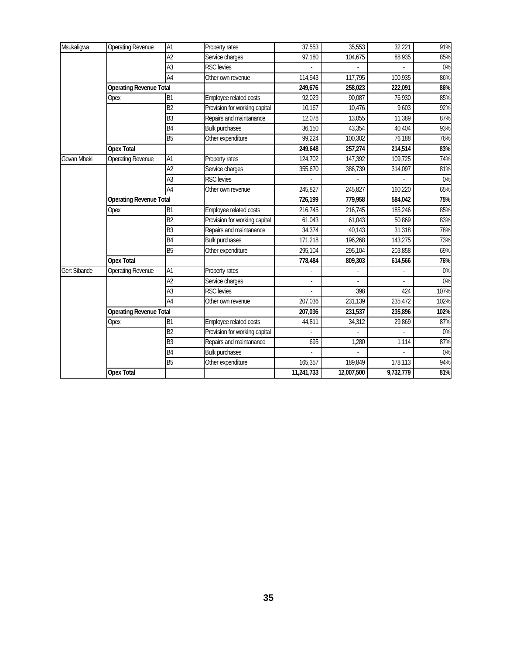| Msukaligwa          | Operating Revenue              | A1              | Property rates                | 37,553     | 35,553     | 32,221    | 91%   |
|---------------------|--------------------------------|-----------------|-------------------------------|------------|------------|-----------|-------|
|                     |                                | A <sub>2</sub>  | Service charges               | 97,180     | 104,675    | 88,935    | 85%   |
|                     |                                | A3              | <b>RSC</b> levies             |            |            |           | 0%    |
|                     |                                | A4              | Other own revenue             | 114,943    | 117,795    | 100,935   | 86%   |
|                     | <b>Operating Revenue Total</b> |                 |                               | 249,676    | 258,023    | 222,091   | 86%   |
|                     | Opex                           | B <sub>1</sub>  | Employee related costs        | 92,029     | 90,087     | 76,930    | 85%   |
|                     |                                | B2              | Provision for working capital | 10,167     | 10,476     | 9,603     | 92%   |
|                     |                                | B <sub>3</sub>  | Repairs and maintanance       | 12,078     | 13,055     | 11,389    | 87%   |
|                     |                                | B <sub>4</sub>  | <b>Bulk purchases</b>         | 36,150     | 43,354     | 40,404    | 93%   |
|                     |                                | <b>B5</b>       | Other expenditure             | 99,224     | 100,302    | 76,188    | 76%   |
|                     | <b>Opex Total</b>              |                 |                               | 249,648    | 257,274    | 214,514   | 83%   |
| Govan Mbeki         | <b>Operating Revenue</b>       | A1              | Property rates                | 124,702    | 147,392    | 109,725   | 74%   |
|                     |                                | A <sub>2</sub>  | Service charges               | 355,670    | 386,739    | 314,097   | 81%   |
|                     |                                | $\overline{A3}$ | <b>RSC</b> levies             |            |            |           | $0\%$ |
|                     |                                | A4              | Other own revenue             | 245,827    | 245,827    | 160,220   | 65%   |
|                     | <b>Operating Revenue Total</b> |                 |                               | 726,199    | 779,958    | 584,042   | 75%   |
|                     | Opex                           | B1              | Employee related costs        | 216,745    | 216,745    | 185,246   | 85%   |
|                     |                                | B2              | Provision for working capital | 61,043     | 61,043     | 50,869    | 83%   |
|                     |                                | B <sub>3</sub>  | Repairs and maintanance       | 34,374     | 40,143     | 31,318    | 78%   |
|                     |                                | B <sub>4</sub>  | <b>Bulk purchases</b>         | 171,218    | 196,268    | 143,275   | 73%   |
|                     |                                | <b>B5</b>       | Other expenditure             | 295,104    | 295,104    | 203,858   | 69%   |
|                     | <b>Opex Total</b>              |                 |                               | 778,484    | 809,303    | 614,566   | 76%   |
| <b>Gert Sibande</b> | <b>Operating Revenue</b>       | A1              | Property rates                |            |            |           | $0\%$ |
|                     |                                | A <sub>2</sub>  | Service charges               |            |            |           | 0%    |
|                     |                                | A <sub>3</sub>  | <b>RSC</b> levies             |            | 398        | 424       | 107%  |
|                     |                                | $\overline{A4}$ | Other own revenue             | 207,036    | 231,139    | 235,472   | 102%  |
|                     | <b>Operating Revenue Total</b> |                 |                               | 207,036    | 231,537    | 235,896   | 102%  |
|                     | Opex                           | B <sub>1</sub>  | Employee related costs        | 44,811     | 34,312     | 29,869    | 87%   |
|                     |                                | B2              | Provision for working capital |            |            |           | $0\%$ |
|                     |                                | B <sub>3</sub>  | Repairs and maintanance       | 695        | 1,280      | 1,114     | 87%   |
|                     |                                | B <sub>4</sub>  | <b>Bulk purchases</b>         |            |            |           | $0\%$ |
|                     |                                | <b>B5</b>       | Other expenditure             | 165,357    | 189,849    | 178,113   | 94%   |
|                     | <b>Opex Total</b>              |                 |                               | 11,241,733 | 12,007,500 | 9,732,779 | 81%   |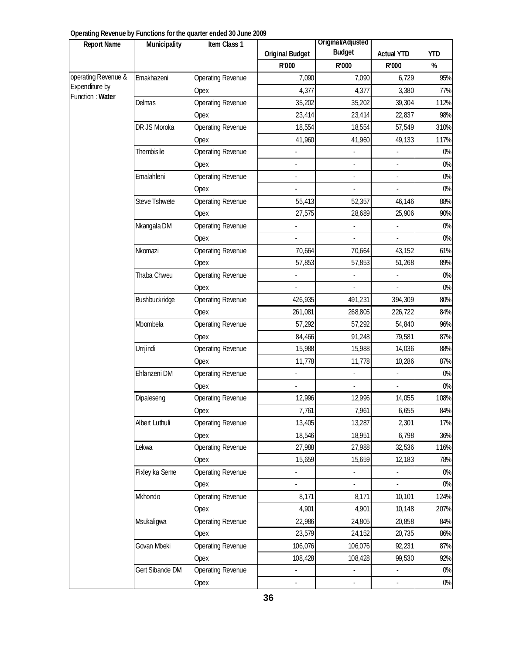| <b>Report Name</b>  | Municipality         | Item Class 1      | <b>Original Budget</b> | Original/Adjusted<br><b>Budget</b> | <b>Actual YTD</b> | YTD  |
|---------------------|----------------------|-------------------|------------------------|------------------------------------|-------------------|------|
|                     |                      |                   | R'000                  | R'000                              | R'000             | %    |
|                     | Emakhazeni           | Operating Revenue | 7,090                  | 7,090                              | 6,729             | 95%  |
| Expenditure by      |                      | Opex              | 4,377                  | 4,377                              | 3,380             | 77%  |
| Function : Water    | Delmas               | Operating Revenue | 35,202                 | 35,202                             | 39,304            | 112% |
| operating Revenue & |                      | Opex              | 23,414                 | 23,414                             | 22,837            | 98%  |
|                     | DR JS Moroka         | Operating Revenue | 18,554                 | 18,554                             | 57,549            | 310% |
|                     |                      | Opex              | 41,960                 | 41,960                             | 49,133            | 117% |
|                     | Thembisile           | Operating Revenue |                        |                                    |                   | 0%   |
|                     |                      | Opex              |                        | $\overline{\phantom{a}}$           | ÷,                | 0%   |
|                     | Emalahleni           | Operating Revenue |                        |                                    |                   | 0%   |
|                     |                      | Opex              |                        |                                    |                   | 0%   |
|                     | <b>Steve Tshwete</b> | Operating Revenue | 55,413                 | 52,357                             | 46,146            | 88%  |
|                     |                      | Opex              | 27,575                 | 28,689                             | 25,906            | 90%  |
|                     | Nkangala DM          | Operating Revenue |                        |                                    |                   | 0%   |
|                     |                      | Opex              |                        |                                    |                   | 0%   |
|                     | Nkomazi              | Operating Revenue | 70,664                 | 70,664                             | 43,152            | 61%  |
|                     |                      | Opex              | 57,853                 | 57,853                             | 51,268            | 89%  |
|                     | Thaba Chweu          | Operating Revenue |                        |                                    |                   | 0%   |
|                     |                      | Opex              |                        |                                    |                   | 0%   |
|                     | Bushbuckridge        | Operating Revenue | 426,935                | 491,231                            | 394,309           | 80%  |
|                     |                      | Opex              | 261,081                | 268,805                            | 226,722           | 84%  |
|                     | Mbombela             | Operating Revenue | 57,292                 | 57,292                             | 54,840            | 96%  |
|                     |                      | Opex              | 84,466                 | 91,248                             | 79,581            | 87%  |
|                     | Umjindi              | Operating Revenue | 15,988                 | 15,988                             | 14,036            | 88%  |
|                     |                      | Opex              | 11,778                 | 11,778                             | 10,286            | 87%  |
|                     | Ehlanzeni DM         | Operating Revenue |                        |                                    |                   | 0%   |
|                     |                      | Opex              |                        |                                    |                   | 0%   |
|                     | Dipaleseng           | Operating Revenue | 12,996                 | 12,996                             | 14,055            | 108% |
|                     |                      | Opex              | 7,761                  | 7,961                              | 6,655             | 84%  |
|                     | Albert Luthuli       | Operating Revenue | 13,405                 | 13,287                             | 2,301             | 17%  |
|                     |                      | Opex              | 18,546                 | 18,951                             | 6,798             | 36%  |
|                     | Lekwa                | Operating Revenue | 27,988                 | 27,988                             | 32,536            | 116% |
|                     |                      | Opex              | 15,659                 | 15,659                             | 12,183            | 78%  |
|                     | Pixley ka Seme       | Operating Revenue | ä,                     | $\blacksquare$                     | ÷.                | 0%   |
|                     |                      | Opex              |                        |                                    |                   | 0%   |
|                     | Mkhondo              | Operating Revenue | 8,171                  | 8,171                              | 10,101            | 124% |
|                     |                      | Opex              | 4,901                  | 4,901                              | 10,148            | 207% |
|                     | Msukaligwa           | Operating Revenue | 22,986                 | 24,805                             | 20,858            | 84%  |
|                     |                      | Opex              | 23,579                 | 24,152                             | 20,735            | 86%  |
|                     | Govan Mbeki          | Operating Revenue | 106,076                | 106,076                            | 92,231            | 87%  |
|                     |                      | Opex              | 108,428                | 108,428                            | 99,530            | 92%  |
|                     | Gert Sibande DM      | Operating Revenue | ÷,                     |                                    | ÷,                | 0%   |
|                     |                      | Opex              | ÷,                     | $\overline{\phantom{a}}$           | ÷,                | 0%   |

#### **Operating Revenue by Functions for the quarter ended 30 June 2009**